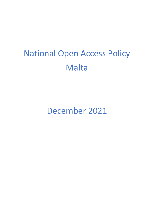# National Open Access Policy Malta

December 2021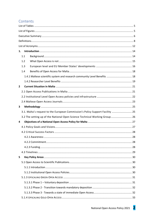# Contents

| 1.                                                                            |  |  |  |
|-------------------------------------------------------------------------------|--|--|--|
| 1.1                                                                           |  |  |  |
| 1.2                                                                           |  |  |  |
| 1.3                                                                           |  |  |  |
| 1.4                                                                           |  |  |  |
| 1.4.1 Maltese scientific system and research community Level Benefits  18     |  |  |  |
|                                                                               |  |  |  |
| $\mathbf{2}$                                                                  |  |  |  |
|                                                                               |  |  |  |
|                                                                               |  |  |  |
|                                                                               |  |  |  |
| 3                                                                             |  |  |  |
| 3.1. Malta's request to the European Commission's Policy Support Facility  25 |  |  |  |
| 3.2 The setting up of the National Open Science Technical Working Group 26    |  |  |  |
| 4                                                                             |  |  |  |
|                                                                               |  |  |  |
|                                                                               |  |  |  |
|                                                                               |  |  |  |
|                                                                               |  |  |  |
|                                                                               |  |  |  |
|                                                                               |  |  |  |
| 5                                                                             |  |  |  |
|                                                                               |  |  |  |
|                                                                               |  |  |  |
|                                                                               |  |  |  |
|                                                                               |  |  |  |
|                                                                               |  |  |  |
|                                                                               |  |  |  |
|                                                                               |  |  |  |
|                                                                               |  |  |  |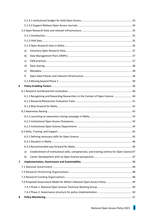|   | a) |                                                                                               |  |
|---|----|-----------------------------------------------------------------------------------------------|--|
|   | b) |                                                                                               |  |
|   | c) |                                                                                               |  |
|   | d) |                                                                                               |  |
|   | e) |                                                                                               |  |
|   | f) |                                                                                               |  |
|   |    |                                                                                               |  |
| 6 |    |                                                                                               |  |
|   |    |                                                                                               |  |
|   |    | 6.1.1 Recognising and Rewarding Researchers in the Context of Open Science  40                |  |
|   |    |                                                                                               |  |
|   |    |                                                                                               |  |
|   |    |                                                                                               |  |
|   |    |                                                                                               |  |
|   |    |                                                                                               |  |
|   |    |                                                                                               |  |
|   |    |                                                                                               |  |
|   |    |                                                                                               |  |
|   |    |                                                                                               |  |
|   |    |                                                                                               |  |
|   | a) | Establishment of institutional skills, competencies, and training centres for Open Science 47 |  |
|   | b) |                                                                                               |  |
| 7 |    |                                                                                               |  |
|   |    |                                                                                               |  |
|   |    |                                                                                               |  |
|   |    |                                                                                               |  |
|   |    | 7.4 Proposed Governance Model for Malta's National Open Access Policy  49                     |  |
|   |    |                                                                                               |  |
|   |    |                                                                                               |  |
| 8 |    |                                                                                               |  |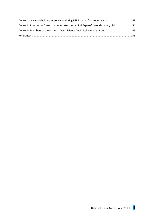| Annex I: Local stakeholders interviewed during PSF Experts' first country visit  53     |  |
|-----------------------------------------------------------------------------------------|--|
| Annex II: 'Pre-mortem' exercise undertaken during PSF Experts' second country visit  54 |  |
| Annex III: Members of the National Open Science Technical Working Group 55              |  |
|                                                                                         |  |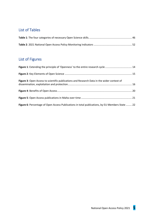# <span id="page-4-0"></span>List of Tables

# <span id="page-4-1"></span>List of Figures

<span id="page-4-2"></span>

| Figure 1: Extending the principle of 'Openness' to the entire research cycle  14                |  |
|-------------------------------------------------------------------------------------------------|--|
|                                                                                                 |  |
| Figure 3: Open Access to scientific publications and Research Data in the wider context of      |  |
|                                                                                                 |  |
|                                                                                                 |  |
| Figure 6: Percentage of Open Access Publications in total publications, by EU Members State  22 |  |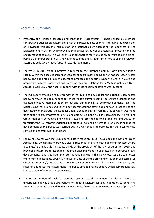# Executive Summary

- Presently, the Maltese Research and Innovation (R&I) system is characterised by a rather conservative publication culture and a lack of structured data sharing. Improving the circulation of knowledge through the introduction of a national policy addressing the 'openness' of the Maltese scientific system will improve scientific research, as well as accelerate innovation and the engagement of society. This will elicit clear advantages for Malta as an outward looking islandbased EU Member State. It will, however, take time and a significant effort to align all relevant actors and collectively move forward towards 'openness'.
- Therefore, in 2017 Malta submitted a request to the European Commission's Policy Support Facility within the auspices of Horizon 2020 for support in developing its first national Open Access policy. The appointed group of experts commenced the specific support exercise in 2019 and prepared a tailored framework with a set of recommendations for a Maltese policy on Open Access. In April 2020, the final PSF report<sup>1</sup> with these recommendations was launched.
- The PSF report entailed a robust framework for Malta to develop its first national Open Access policy, however the policy needed to reflect Malta's current realities, to ensure acceptance and eventual effective implementation. To that end, during the initial policy development stage, The Malta Council for Science and Technology coordinated the setting up and work proceedings of a dedicated working group (the National Open Science Technical Working Group), which was made up of expert representatives of key stakeholders active in the field of Open Science. The Working Group members exchanged knowledge, views and provided technical opinions and advice on translating the PSF recommendations into practical, actionable items for Malta ensuring that the development of this policy was carried out in a way that is appropriate for the local Maltese context and its framework conditions.
- Following several Working Group participatory meetings, MCST developed this National Open Access Policy which aims to provide a clear direction for Malta to create a scientific system where 'openness' is the default. This policy builds on the provisions of the PSF report of April 2020, and provides a future-proof, actionable roadmap enabling Malta to align itself with European level developments relating to Open Science. The roadmap within this policy focusses on Open Access to scientific publications, Open/FAIR Research Data under the principle of "as open as possible, as closed as necessary", and related actions on awareness raising, skills, training and support, and research and researcher assessment. The policy aims to provide actions which comprehensively lead to a state of immediate Open Access.
- The transformation of Malta's scientific system towards 'openness' by default, must be undertaken in a way that is appropriate for the local Maltese context. In addition, to identifying awareness, commitment and funding as key success factors, this policy recommends a "phase-in"

<sup>1</sup> [https://rio.jrc.ec.europa.eu/sites/default/files/report/SS Malta\\_Final Report.pdf](https://rio.jrc.ec.europa.eu/sites/default/files/report/SS%20Malta_Final%20Report.pdf)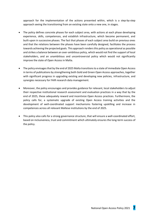approach for the implementation of the actions presented within, which is a step-by-step approach seeing the transitioning from an existing state onto a new one, in stages.

- The policy defines concrete phases for each subject area, with actions at each phase developing experience, skills, competences, and establish infrastructure, which become permanent, and built-upon in successive phases. The fact that phases of each subject area build on previous ones and that the relations between the phases have been carefully designed, facilitates the process towards achieving the projected goals. This approach renders this policy as operational as possible and strikes a balance between an over-ambitious policy, which would not find the support of local stakeholders, and an unambitious and uncontroversial policy which would not significantly improve the state of Open Access in Malta.
- The policy envisages that by the end of 2025 Malta transitions to a state of immediate Open Access in terms of publications by strengthening both Gold and Green Open Access approaches, together with significant progress in upgrading existing and developing new policies, infrastructure, and synergies necessary for FAIR research data management.
- Moreover, the policy encourages and provides guidance for relevant, local stakeholders to adjust their respective institutional research assessment and evaluation practices in a way that by the end of 2025, these adequately reward and incentivize Open Access practices. Furthermore, the policy calls for, a systematic upgrade of existing Open Access training activities and the development of well-coordinated support mechanisms fostering upskilling and increase in competences across all relevant Maltese institutions by the end of 2025.
- This policy also calls for a strong governance structure, that will ensure a well-coordinated effort, based on inclusiveness, trust and commitment which ultimately ensures the long-term success of the policy.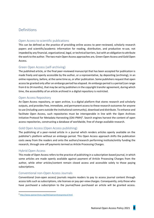# <span id="page-7-0"></span>**Definitions**

# Open Access to scientific publications

This can be defined as the practice of providing online access to peer-reviewed, scholarly research papers and scientific/academic information for reading, distribution, and productive re-use, not impeded by any financial, organizational, legal, or technical barriers, but with an obligation to attribute the work to the author. The two main Open Access approaches are, Green Open Access and Gold Open Access.

# Green Open Access (self-archiving)

The published article, or the final peer-reviewed manuscript that has been accepted for publication is made freely and openly accessible by the author, or a representative, by depositing (archiving), in an online repository, before, at the same time as, or after publication. Some publishers request that open access be granted only after an embargo period has elapsed. An embargo period is a period (can range from 6 to 24 months), that may be set by publishers in the copyright transfer agreement, during which time, the accessibility of an article archived in a digital repository is restricted.

# Open Access Repository

An Open Access repository, or open archive, is a digital platform that stores research and scholarly outputs, and provides free, immediate, and permanent access to these research outcomes for anyone to use (including users outside the institutional community), download and distribute. To enhance and facilitate Open Access, such repositories must be interoperable in line with the Open Archives Initiative Protocol for Metadata Harvesting (OAI-PMH)<sup>2</sup>. Search engines harvest the content of open access repositories, constructing a database of worldwide, free of charge available research.

# Gold Open Access (Open Access publishing)

The publishing of a peer-revied article in a journal which renders articles openly available on the publisher's platform without an embargo period. This Open Access approach shifts the publication costs away from the readers and onto the authors/research performing institute/entity funding the research, through one-off payments termed as Article Processing Charges.

# Hybrid Open Access

This mode of Open Access refers to the practice of publishing in a subscription-based journal, in which some articles are made openly available against payment of Article Processing Charges from the author, while other articles/content remain closed access and accessible solely to those paying subscriptions.

# Conventional non-Open Access Journals

Conventional (non-open access) journals require readers to pay to access journal content through access tolls such as subscriptions, site licenses or pay-per-view charges. Consequently, only those who have purchased a subscription to the journal/have purchased an article will be granted access.

<sup>2</sup> <http://www.openarchives.org/OAI/openarchivesprotocol.html>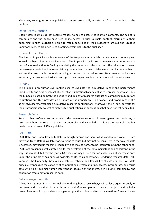Moreover, copyrights for the published content are usually transferred from the author to the publisher.

#### Open Access Journals

Open-Access journals do not require readers to pay to access the journal's contents. The scientific community and the public have free online access to such journals' content. Normally, authors publishing in such journals are able to retain copyright of their respective articles and Creative Commons licenses are often used granting certain rights to the publisher.

#### Journal Impact Factor

The Journal Impact Factor is a measure of the frequency with which the average article in a given journal has been cited in a particular year. The Impact Factor is used to measure the importance or rank of a journal within its field by calculating the times its articles are cited. The calculation is based on a two-year period and involves dividing the number of times articles were cited by the number of articles that are citable. Journals with higher impact factor values are often deemed to be more important, or carry more intrinsic prestige in their respective fields, than those with lower values.

#### H-index

The h-index is an author-level metric used to evaluate the cumulative impact and performance (productivity and citation impact of respective publications) of a scientist, researcher, or scholar. Thus, the h-index is based on both the quantity and quality of research outputs by comparing publications to citations and thus provides an estimate of the importance, significance, and broad impact of a scientist/researcher/scholar's cumulative research contributions. Moreover, the h-index corrects for the disproportionate weight of highly cited publications or publications that have not yet been cited.

#### Research Data

Research Data refers to resources which the researcher collects, observes, generates, produces, or uses throughout the research process. It underpins and is needed to validate the research, and it is meritorious in research if it is published.

#### FAIR Data

FAIR Data and Open Research Data, although similar and somewhat overlapping concepts, are different. Open Data is available for everyone to reuse but may not be consistent in the way the data is accessed, may lack in machine readability, and may be harder to be interpreted. On the other hand, FAIR Data presents a well curated digital manifestation of the data, persistent and consistent in the way it is accessed, but may be (partially) closed, or may be free for particular types of use/reuse only, under the principle of "as open as possible, as closed as necessary". Rendering research data FAIR, improves the **F**indability, **A**ccessibility, **I**nteroperability, and **R**eusability of datasets. The FAIR data principle emphasizes the capacity of computational systems to find, access, interoperate, and reuse data with no or minimal human intervention because of the increase in volume, complexity, and generation frequency of research data.

#### Data Management Plan

A Data Management Plan is a formal plan outlining how a researcher/s will collect, organize, analyze, preserve, and share their data, both during and after completing a research project. It thus helps researchers establish good data management practices, plan, and track the creation of research data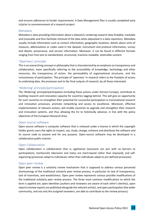and ensures adherence to funder requirements. A Data Management Plan is usually completed early in/prior to commencement of a research project

# Metadata

Metadata is data providing information about a dataset/s rendering research data findable, trackable and (re)usable and thus facilitate retrieval of the data when deposited in a data repository. Metadata usually include information such as contact information, geographic locations, details about units of measure, abbreviations or codes used in the dataset, instrument and protocol information, survey tool details, provenance, and version information. Moreover, it can be found in different formats ranging from free text to standardized, structured, machine-readable, extensible content.

# 'Openness' principle

This is an overarching concept or philosophy that is characterized by an emphasis on transparency and collaboration, more specifically referring to the accessibility of knowledge, technology and other resources, the transparency of action, the permeability of organizational structures, and the inclusiveness of participation. The principle of 'openness' in research refers to the freedom of access to underlying data, the processes and to the final outputs of research, by all those interested.

# 'Widening' principle/participation

The 'Widening' principle/participation (including those actions under Horizon Europe), contribute to building research and innovation capacity for countries lagging behind. This will give an opportunity for such countries to strengthen their potential for successful participation in transnational research and innovation processes, promote networking and access to excellence. Moreover, effective implementation of relevant actions, will enable countries to upgrade and strengthen their research and innovation systems, and thus allowing the EU to holistically advance, in line with the policy objectives of the European Research Area.

# Open-source software

Open-source software is computer software that is released under a license in which the copyright holder grants users the rights to inspect, use, study, change, enhance and distribute the software and its source code to anyone and for any purpose. Open-source software may be developed in a collaborative public manner.

# Open Collaboration

Open collaboration is collaboration that is; egalitarian (everyone can join with no barriers to participation), meritocratic (decisions and status are merit-based rather than imposed), and selforganizing (processes adapt to individuals rather than individuals adapt to pre-defined processes).

# Open peer-review

Open peer review is a scholarly review mechanism that is supposed to address various perceived shortcomings of the traditional scholarly peer review process, in particular its lack of transparency, lack of incentives, and wastefulness. Open peer review represents various possible modifications of the traditional scholarly peer review process. The three most common modifications to which the term is applied are; open identities (authors and reviewers are aware of each other's identity), open reports(review reports are published alongside the relevant article), and open participation (the wider community, and not only the assigned reviewers, are able to contribute to the review process).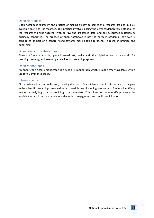# Open Notebooks

Open notebooks represent the practice of making all key outcomes of a research project, publicly available online as it is recorded. This practice involves placing the personal/laboratory notebook of the researcher online together with all raw and processed data, and any associated material, as originally generated. The practice of open notebooks is not the norm in academia, however, is considered as part of a general trend towards more open approaches in research practice and publishing.

#### Open Educational Resources

These are freely accessible, openly licensed text, media, and other digital assets that are useful for teaching, learning, and assessing as well as for research purposes.

#### Open Monographs

An open/Open Access monograph is a scholarly monograph which is made freely available with a Creative Commons license.

#### Citizen Science

Citizen science is an umbrella term, covering the part of Open Science in which citizens can participate in the scientific research process in different possible ways including as observers, funders, identifying images or analyzing data, or providing data themselves. This allows for the scientific process to be available for all citizens and enables stakeholders' engagement and public participation.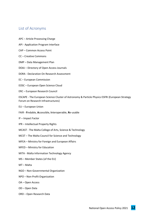# <span id="page-11-0"></span>List of Acronyms

- APC Article Processing Charge
- API Application Program Interface
- CAP Common Access Point
- CC Creative Commons
- DMP Data Management Plan
- DOAJ Directory of Open Access Journals
- DORA Declaration On Research Assessment
- EC European Commission
- EOSC European Open Science Cloud
- ERC European Research Council

ESCAPE - The European Science Cluster of Astronomy & Particle Physics ESFRI (European Strategy Forum on Research Infrastructures)

- EU European Union
- FAIR **F**indable, **A**ccessible, **I**nteroperable, **R**e-usable
- IF Impact Factor
- IPR Intellectual Property Rights
- MCAST The Malta College of Arts, Science & Technology
- MCST The Malta Council for Science and Technology
- MFEA Ministry for Foreign and European Affairs
- MFED Ministry for Education
- MITA Malta Information Technology Agency
- MS Member States (of the EU)
- MT Malta
- NGO Non-Governmental Organization
- NPO Non-Profit Organization
- OA Open Access
- OD Open Data
- ORD Open Research Data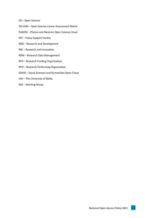- OS Open Science
- OS-CAM Open Science Career Assessment Matrix
- PaNOSC Photon and Neutron Open Science Cloud
- PSF Policy Support Facility
- R&D Research and Development
- R&I Research and Innovation
- RDM Research Data Management
- RFO Research Funding Organization
- RPO Research Performing Organization
- SSHOC Social Sciences and Humanities Open Cloud
- UM The University of Malta
- WG Working Group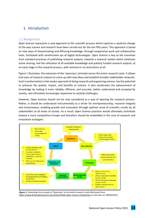# <span id="page-13-0"></span>1. Introduction

# <span id="page-13-1"></span>1.1 Background

Open Science represents a new approach to the scientific process which captures a systemic change to the way science and research have been carried out for the last fifty years. This approach is based on new ways of disseminating and diffusing knowledge, through cooperative work and collaborative tools, facilitated with ameliorated use of digital technologies. Open Science is key to the transition from standard practices of publishing research outputs, towards a research system which embraces active sharing, and the utilization of all available knowledge and publicly funded research outputs, at an early stage in the research process, with minimal or no restrictions at all.

Figure 1 illustrates, the extension of the 'openness' principle across the entire research cycle. It allows end users of research outputs to come up with new ideas and establish broader stakeholder networks. Such transformation in the modus operandi of doing research and organising science, has the potential to enhance the quality, impact, and benefits of science. It also accelerates the advancement of knowledge by making it more reliable, efficient, and accurate, better understood and accepted by society, and ultimately increasingly responsive to societal challenges.

However, Open Science should not be only considered as a way of opening the research process. Rather, it should be understood instrumentally as a driver for entrepreneurship, research integrity and inclusiveness, enabling growth and innovation through optimal reuse of scientific results by all stakeholders at all levels of society. As a result, Open Science practices would ultimately contribute toward a more competitive Europe and therefore should be embedded in the core of research and innovation strategies.



*Figure 1*: Extending the principle of 'Openness' to the entire research cycle (Retrieved from *https://www.fosteropenscience.eu/content/what-open-science-introduction* as last seen on 28/04/2021).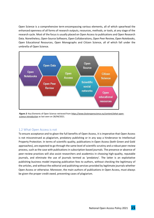Open Science is a comprehensive term encompassing various elements, all of which spearhead the enhanced openness of all forms of research outputs, resources, methods, or tools, at any stage of the research cycle. Most of the focus is usually placed on Open Access to publications and Open Research Data. Nonetheless, Open-Source Software, Open Collaborations, Open Peer Review, Open Notebooks, Open Educational Resources, Open Monographs and Citizen Science, all of which fall under the umbrella of Open Science.



*Figure 2*: Key Elements of Open Science retrieved from *https://www.fosteropenscience.eu/content/what-openscience-introduction* as last seen on 28/04/2021.

# <span id="page-14-0"></span>1.2 What Open Access is not

To ensure acceptance and to glean the full benefits of Open Access, it is imperative that Open Access is not misconstrued as plagiarism, predatory publishing or in any way a hinderance to Intellectual Property Protection. In terms of scientific quality, publications in Open Access (both Green and Gold approaches), are expected to go through the same level of scientific scrutiny and a robust peer-review process, such as the case with publications in subscription-based journals. The presence or absence of peer-review practices will also assist researchers and academics in choosing high-quality, reputable journals, and eliminate the use of journals termed as 'predatory'. The latter is an exploitative publishing business model imposing publication fees to authors, without checking the legitimacy of the articles, and without the editorial and publishing services provided by legitimate journals whether Open Access or otherwise. Moreover, the main authors of publications in Open Access, must always be given the proper credit owed, preventing cases of plagiarism.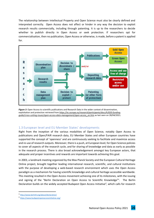The relationship between Intellectual Property and Open Science must also be clearly defined and interpreted correctly. Open Access does not affect or hinder in any way the decision to exploit research results commercially, including through patenting. It is up to the researchers to decide whether to publish directly in Open Access or seek protection. If researchers opt for commercialisation, then no publication, Open Access or otherwise, is made, before a patent is applied for.



*Figure 3*: Open Access to scientific publications and Research Data in the wider context of dissemination, exploitation and protection retrieved from *https://ec.europa.eu/research/participants/docs/h2020-fundingguide/cross-cutting-issues/open-access-data-management/open-access\_en.htm* as last seen on 28/04/2021.

# <span id="page-15-0"></span>1.3 European level and EU Member States' developments

Right from the inception of the various modalities of Open Science, notably Open Access to publications and Open/FAIR research data, EU Member States and other European countries have supported the concept of 'openness' and are continuously seeking to facilitate and maximize access and re-use of research outputs. Moreover, there is a push, at European level, for Open Science policies to cover all aspects of the research cycle, and for sharing of knowledge and data as early as possible in the research process. There is also broad acknowledgement amongst key European actors, that adequate and proper incentives and rewards are important towards achieving this goal.

In 2003, a landmark meeting organized by the Max Planck Society and the European Cultural Heritage Online project, brought together leading international research, scientific, and cultural institutions with the purpose of developing a web-based research environment which uses the Open Access paradigm as a mechanism for having scientific knowledge and cultural heritage accessible worldwide. This meeting resulted in the Open Access movement achieving one of its milestones, with the issuing and signing of the "Berlin Declaration on Open Access to Scientific Knowledge<sup>3</sup>". The Berlin Declaration builds on the widely accepted Budapest Open Access Initiative<sup>4</sup>, which calls for research

<sup>3</sup> <http://www.berlin9.org/about/declaration/>

<sup>4</sup> <https://www.budapestopenaccessinitiative.org/>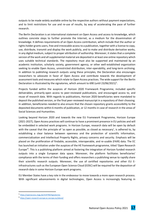outputs to be made widely available online by the respective authors without payment expectations, and to limit restrictions for use and re-use of results, by way of accelerating the pace of further research.

The Berlin Declaration is an international statement on Open Access and access to knowledge, which outlines concrete steps to further promote the Internet, as a medium for the dissemination of knowledge. It defines requirements of an Open Access contribution, which include that the author or rights holder grants users, free and irrevocable access to a publication, together with a license to copy, use, distribute, transmit and display the work publicly, and to make and distribute derivative works, in any digital medium, subject to proper attribution of authorship. Moreover, it states that a complete version of the work and all supplemental material are deposited in at least one online repository which uses suitable technical standards. The repository must also be supported and maintained by an academic institution, scholarly society, government agency, or other well-established organization seeking to enable Open Access, unrestricted distribution, inter-operability, and long-term archiving. In addition to publishing research outputs using these principles, the Declaration also encourages researchers to advocate in favor of Open Access and contribute towards the development of assessment tools and measures which relate to Open Access practices. The wide support for the Berlin Declaration is illustrated by the signatories, which amount to 690 (until 23/06/2021)<sup>5</sup>.

Projects funded within the auspices of Horizon 2020 Framework Programme, included specific deliverables, primarily open access to peer-reviewed publications, and encouraged access to, and reuse of research data. With regards to publications, Horizon 2020 beneficiaries were mandated to deposit the published version, or the final peer-reviewed manuscript in a repository of their choosing. In addition, beneficiaries needed to also ensure that the chosen repository grants accessibility to the deposited documents within 6 months of publication, or 12 months in case of research in the areas of Social Sciences and Humanities.

Looking beyond Horizon 2020 and towards the new EU Framework Programme, Horizon Europe (2021-2027), Open Access practices will continue to have a prominent presence in EU policies and will be embedded in selected work programs. In Horizon Europe, research data will be open by default with the caveat that the principle of 'as open as possible, as closed as necessary', is adhered to, by establishing a clear balance between openness and the protection of scientific information, commercialization and Intellectual Property Rights, privacy concerns and security. Emphasis will be placed on the proliferation of findable, accessible, interoperable, and re-usable (FAIR) data. The EC has launched an initiative under the auspices of the HE framework programme, titled 'Open Research Europe'<sup>6</sup> . This is a publishing platform aimed at fostering the integration of Horizon funded research outputs into a single European data space. Moreover, the platform facilitates beneficiaries' compliance with the terms of their funding and offers researchers a publishing venue to rapidly share their scientific research outputs. Moreover, the use of certified repositories and other EU Einfrastructures such as the European Open Science Cloud (EOSC) will be required for the deposition of research data in some Horizon Europe work programs.

EU Member States have a key role in the endeavour to move towards a more open research process. With significant advancements in digital technologies, Open Access is increasingly featuring in

<sup>5</sup> <https://openaccess.mpg.de/319790/Signatories>

<sup>6</sup> <https://open-research-europe.ec.europa.eu/about/>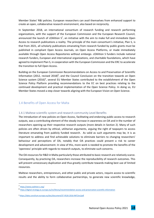Member States' R&I policies. European researchers can avail themselves from enhanced support to create an open, collaborative research environment, also based on reciprocity.

In September 2018, an international consortium of research funding and research performing organizations, with the support of the European Commission and the European Research Council, announced the launch of cOAlition  $S^7$ , an initiative with the aim to make full and immediate Open Access to research publications a reality. The principle of the main consortium's initiative, Plan S, is that from 2021, all scholarly publications emanating from research funded by public grants must be published in compliant Open Access Journals, on Open Access Platforms, or made immediately available through Open Access Repositories without embargo. cOAlition S funders include national research funders, European and international organizations, and charitable foundations, which have agreed to implement Plan S, in cooperation with the European Commission and the ERC to accelerate the transition to full Open Access.

Building on the European Commission Recommendations on Access to and Preservation of Scientific Information (2012, revised 2018) $^8$ , and the Council Conclusion on the transition towards an Open Science system (2016)<sup>9</sup>, several EU Member States contributed to the establishment of the Open Science Policy Platform providing recommendations to the EC on best practices relating to the continued development and practical implementation of the Open Science Policy. In doing so, EU Member States moved a step closer towards aligning with the European Vision on Open Science.

# <span id="page-17-0"></span>1.4 Benefits of Open Access for Malta

# <span id="page-17-1"></span>1.4.1 Maltese scientific system and research community Level Benefits

The introduction of new policies on Open Access, facilitating and endorsing public access to research outputs, was a contributing element of the steady increase in awareness on OA and in the number of researchers opening-up their respective research outputs (more details in Section 2). Many of such policies are often driven by ethical, utilitarian arguments, arguing the right of taxpayers to access literature emanating from publicly funded research. As valid as such arguments may be, it is as important to address and find achievable solutions to eliminate barriers to changing researchers' behaviour and perceptions of OA, notably that OA practices could present a risk to career development and advancement. In view of this, more work is needed to promote the benefits of the 'openness' principle with regards to research outputs, to eliminate such concerns.

The OA resources for R&D in Malta particularly those attributed to basic research are relatively scarce. Consequently, by practicing OA, researchers increase the reproducibility of research outcomes. This will prevent unnecessary duplication and thus greatly contribute towards making best use of limited resources.

Maltese researchers, entrepreneurs, and other public and private actors, require access to scientific results and the ability to form collaborative partnerships, to generate new scientific knowledge,

<sup>7</sup> <https://www.coalition-s.org/>

<sup>8</sup> <https://digital-strategy.ec.europa.eu/en/library/recommendation-access-and-preservation-scientific-information>

<sup>9</sup> <https://data.consilium.europa.eu/doc/document/ST-9526-2016-INIT/en/pdf>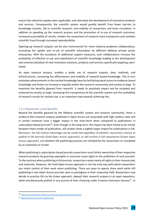ensure the industrial uptake when applicable, and ultimately the development of innovative products and services. Consequently, the scientific system would greatly benefit from fewer barriers to knowledge transfer, OA to scientific research, and mobility of researchers and brain circulation. In addition to speeding up the research process and the promotion of re-use of research outcomes, increased accessibility of results, renders the assessment of research more transparent and combats scientific fraud through increased reproducibility.

Opening-up research outputs can be also instrumental for more industry-academia collaborations, increasing the uptake and re-use of scientific information by different Maltese private sector enterprises. With the assistance of additional support measures, such collaborations increase the probability of effective re-use and exploitation of scientific knowledge leading to the development and commercialization of new innovative solutions, products and services specifically targeting users' needs.

An open research process, enables a wider use of research outputs, data, methods, and infrastructures, increasing the effectiveness and mobility of research-based knowledge. This in turn promotes advancements in the societal knowledge base by facilitating equal access to evidence-based knowledge and fosters an increase in equality within the research community and society at large. To maximize the benefits gleaned from research, it needs to positively impact and be accepted and endorsed by society at large. Increasing the transparency of the scientific system and the availability of research results for societal use, is an important step towards achieving this.

#### <span id="page-18-0"></span>1.4.2 Researcher Level Benefits

Beyond the benefits gleaned by the Maltese scientific system and research community, there is evidence that research outputs published in Open Access are associated with high citation rates and in certain instances have a bigger impact in the short-term when compared to publications in subscription-based journals<sup>10</sup>. Even though in the long-term, the impact has been found to be similar between these modes of publication, still studies show a slightly larger impact for publications in OA. Moreover, the OA citation advantage can be conferred regardless of whether researchers choose to publish in OA Journals (Gold Open Access approach), or self-archive in OA repositories (Green Open Access approach), and whether OA publishing practices are initiated by the researchers or mandated by an institution or funder.

When publishing in subscription-based journals researchers must forfeit ownership of their respective research products by granting copyrights or exclusive reuse rights to the publishers of such journals. To the contrary when publishing in OA journals, researchersretain nearly all rights to their manuscripts and materials. However, the Gold Open Access approach is not the only way with which researchers can retain control of their work when publishing. There are ways to openly share work while still publishing in non-Open Access journals seen as prestigious in their respective field. Researchers may decide to practice OA via the Green approach, deposit their research outputs in an open repository, while simultaneously publish in any journal of their choosing under Creative Commons licenses<sup>11</sup>. In

<sup>10</sup> <https://journals.library.ualberta.ca/istl/index.php/istl/article/view/2512>

<sup>11</sup> <https://creativecommons.org/licenses/>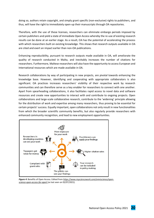doing so, authors retain copyright, and simply grant specific (non-exclusive) rights to publishers, and thus, will have the right to immediately open-up their manuscripts through OA repositories.

Therefore, with the use of these licenses, researchers can eliminate embargo periods imposed by certain publishers and yield a state of immediate Open Access whereby the re-use of existing research results can be done at an earlier stage. As a result, OA has the potential of accelerating the process with which researchers built on existing knowledge. This shows that research outputs available in OA are cited and exert an impact earlier than non-OA publications.

Enhancing reproducibility, pursuant to research outputs made available in OA, will ameliorate the quality of research conducted in Malta, and inevitably increases the number of citations for researchers. Furthermore, Maltese researchers will also have the opportunity to access European and International resources which are made available in OA.

Research collaborations by way of participating in new projects, are pivotal towards enhancing the knowledge base. However, identifying and cooperating with appropriate collaborators is also significant. OA practices increases researchers' visibility of their respective work by research communities and can therefore serve as a key enabler for researchers to connect with one another. Apart from spearheading collaborations, it also facilitates rapid access to novel data and software resources and create new opportunities to interact with and contribute to ongoing projects. Open collaborations and large-scale collaborative research, contribute to the 'widening' principle allowing for the distribution of work and expertise among many researchers, thus proving to be essential for certain projects' success. Equally important, open collaborations not only result in new functionalities from which the broader scientific community benefits, but also regularly provide researchers with enhanced community recognition, and lead to new employment opportunities.



*Figure 4*: Benefits of Open Access. Edited from *https://www.mysciencework.com/omniscience/openscience-open-access-far-apart* (as last seen on 02/07/2021).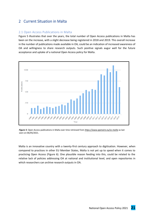# <span id="page-20-0"></span>2 Current Situation in Malta

# <span id="page-20-1"></span>2.1 Open Access Publications in Malta

Figure 5 illustrates that over the years, the total number of Open Access publications in Malta has been on the increase, with a slight decrease being registered in 2018 and 2019. This overall increase in the number of publications made available in OA, could be an indication of increased awareness of OA and willingness to share research outputs. Such positive signals augur well for the future acceptance and uptake of a national Open Access policy for Malta.



*Figure 5*: Open Access publications in Malta over time retrieved from *https://www.openaire.eu/os-malta* as last seen on 06/05/2021.

Malta is an innovative country with a twenty-first century approach to digitisation. However, when compared to practices in other EU Member States, Malta is not yet up to speed when it comes to practicing Open Access (Figure 6). One plausible reason feeding into this, could be related to the relative lack of policies addressing OA at national and institutional level, and open repositories in which researchers can archive research outputs in OA.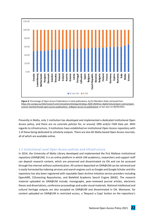

*Figure 6*: Percentage of Open Access Publications in total publications, by EU Members State retrieved from *https://ec.europa.eu/info/research-and-innovation/strategy/strategy-2020-2024/our-digital-future/open-science/openscience-monitor/trends-open-access-publications\_en#open-access-to-publications* as last seen on 06/05/2021.

Presently in Malta, only 1 institution has developed and implemented a dedicated institutional Open Access policy, and there are no concrete policies for, or around, ORD and/or FAIR Data yet. With regards to infrastructure, 3 institutions have established an institutional Open Access repository with 1 of these being dedicated to scholarly outputs. There are also 82 Malta-based Open Access Journals, all of which are available online.

# <span id="page-21-0"></span>2.2 Institutional Level Open Access policies and infrastructure

In 2014, the University of Malta Library developed and implemented the first Maltese institutional repository (OAR@UM). It is an online platform in which UM academics, researchers and support staff can deposit research content, which are preserved and disseminated via OA and can be accessed through the internet without authentication. All content deposited on OAR@UM can be retrieved and is easily harvested by indexing services and search engines such as Google and Google Scholar and this repository has also been registered with reputable Open Archive Initiative service providers including OpenAIRE, COnnecting Repositories, and Bielefeld Academic Search Engine (BASE). The research material uploaded on OAR@UM include, monographs, peer-reviewed journal articles, electronic theses and dissertations, conference proceedings and audio-visual materials. National intellectual and cultural heritage outputs are also accepted on OAR@UM and disseminated in OA. Moreover, for content uploaded on OAR@UM in restricted access, a 'Request a Copy' button on the repository's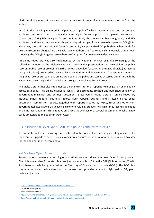platform allows non-UM users to request an electronic copy of the documents directly from the author.

In 2017, the UM implemented its Open Access policy<sup>12</sup> which recommended and encouraged academics and researchers to adopt the Green Open Access approach and upload their research papers onto OAR@UM in Open Access. In June 2021, this policy has been upgraded, and UM academics and researchers are now obliged to deposit a copy of their research papers on OAR@UM. Moreover, the UM's institutional Open Access policy supports Gold OA publishing when funds for 'Article Processing Charges' are available. While authors are free to publish in journals of their own choosing, the OAR@UM gives researchers an OA option for peer-reviewed publications.

An online repository was also implemented by the National Archives of Malta consisting of the collective memory of the Maltese national, through the preservation and accessibility of public records. Public records are defined in the same archives law (Cap. 477 of the Laws of Malta) as records (not publications) produced or received by public entities and departments. A substantial amount of the public records stored in this online are open to the public and can be accessed either through the National Archives respective<sup>13</sup> website or through the Archives Portal Europe<sup>14</sup>.

The Malta Libraries has also implemented an online institutional repository serving as an online public access catalogue. This online catalogue consists of documents created and published annually by government ministries and entities. Documents preserved in Malta Libraries' online repository include, annual reports, business reports, audit reports, business and strategic plans, policy documents, commission reports, together with reports created by NGOs, NPOs and other nongovernmental associations that have valid content value. Moreover, Malta Libraries recently uploaded an online incunabulum<sup>15</sup>. This initiative enhanced the availability of several documents, which are now easily accessible to the public in Open Access.

# 2.3 Institutional Level Open/FAIR Data policies and infrastructure

Several stakeholders are showing a keen interest in the area and are currently investing resources for the eventual upgrade of current policies and infrastructure, or the development of new ones, to cater for the opening-up of research data.

# <span id="page-22-0"></span>2.4 Maltese Open Access Journals

Several national research performing organizations have introduced their own Open Access journals. The UM currently has 81 full-text Maltese journals available in OA on the OAR@UM repository<sup>16</sup>, with 2 of these journals being indexed in the Directory of Open Access Journals (DOAJ). The DOAJ is a community-curated online directory that indexes and provides access to high quality, OA, peerreviewed journals.

<sup>12</sup> <https://www.um.edu.mt/library/oar/handle/123456789/20022>

<sup>13</sup> nationalarchives.gov.mt

<sup>14</sup> archivesportaleurope.eu

<sup>15</sup> [https://www.maltalibraries.gov.mt/iguana/www.main.cls?surl=search&p=\\*#recordId=1.30755&srchDb=1](https://www.maltalibraries.gov.mt/iguana/www.main.cls?surl=search&p=*#recordId=1.30755&srchDb=1)

<sup>16</sup> Open Access: Maltese journals - Library - [L-Università ta' Malta \(um.edu.mt\)](https://www.um.edu.mt/library/openscience/maltesejournals)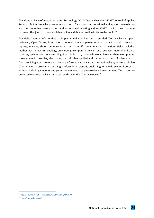The Malta College of Arts, Science and Technology (MCAST) publishes the 'MCAST Journal of Applied Research & Practice' which serves as a platform for showcasing vocational and applied research that is carried out either by researchers and professionals working within MCAST, or with its collaborative partners. This journal is also available online and thus accessible in OA to the public<sup>17</sup>.

The Malta Chamber of Scientists has implemented an online journal entitled 'Xjenza' which is a peerreviewed, Open Access, international journal. It encompasses research articles, original research reports, reviews, short communications, and scientific commentaries in various fields including mathematics, statistics, geology, engineering, computer science, social sciences, natural and earth sciences, technological sciences, linguistics, industrial, nanotechnology, biology, chemistry, physics, zoology, medical studies, electronics, and all other applied and theoretical aspect of science. Apart from providing access to research being performed nationally and internationally by Maltese scholars 'Xjenza' aims to provide a launching platform into scientific publishing for a wide scope of potential authors, including students and young researchers, in a peer-reviewed environment. Two issues are produced every year which can accessed through the 'Xjenza' website<sup>18</sup>.

<sup>17</sup> <https://journal.mcast.edu.mt/resources/html/cms/MAINPAGE>

<sup>18</sup> <https://www.xjenza.org/>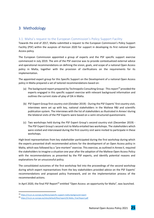# <span id="page-24-0"></span>3 Methodology

# <span id="page-24-1"></span>3.1. Malta's request to the European Commission's Policy Support Facility

Towards the end of 2017, Malta submitted a request to the European Commission's Policy Support Facility (PSF) within the auspices of Horizon 2020 for support in developing its first national Open Access policy.

The European Commission appointed a group of experts and the PSF specific support exercise commenced in July 2019. The aim of the PSF exercise was to provide contextualized external advice and operational recommendations on defining the vision, goals, and scope of a national Open Access policy in Malta, together with the provision of clarifications on the requirements for its implementation.

The appointed expert group for this Specific Support on the Development of a national Open Access policy in Malta prepared a set of tailored recommendations based on:

- (a) The background report prepared by Technopolis Consulting Group This report<sup>19</sup> provided the experts engaged in this specific support exercise with relevant background information and outlines the current state-of-play of OA in Malta.
- (b) PSF Expert Group first country visit (October 2019) During the PSF Experts' first country visit, interviews were set up with key, national stakeholders in the Maltese R&I and scientific publication system. The interviews with the list of stakeholders as illustrated in Annex I during the bilateral visits of the PSF Experts were based on a semi-structured questionnaire.
- (c) Two workshops held during the PSF Expert Group's second country visit (December 2019) The PSF Expert Group's second visit to Malta entailed two workshops. The stakeholders which were visited and interviewed during the first country visit were invited to participate in these workshops.

High-level representatives from key stakeholder participated during the first workshop during which the experts presented draft recommended actions for the development of an Open Access policy in Malta, which was followed by a "pre-mortem" exercise. This exercise, as outlined in Annex II, required the stakeholders to imagine a situation one year after the adoption of the Maltese Open Access Policy with the recommendations as presented by the PSF experts, and identify potential reasons and explanations for an unsuccessful policy.

The consolidated outcomes of the first workshop fed into the proceedings of the second workshop during which expert representatives from the key stakeholders provided advice on the PSF Experts' recommendations and proposed policy framework, and on the implementation process of the recommended actions.

In April 2020, the final PSF Report<sup>20</sup> entitled "Open Access: an opportunity for Malta", was launched.

<sup>19</sup> <https://rio.jrc.ec.europa.eu/library/specific-support-malta-background-report>

<sup>20</sup> [https://rio.jrc.ec.europa.eu/sites/default/files/report/SS Malta\\_Final Report.pdf](https://rio.jrc.ec.europa.eu/sites/default/files/report/SS%20Malta_Final%20Report.pdf)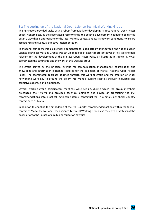# <span id="page-25-0"></span>3.2 The setting up of the National Open Science Technical Working Group

The PSF report provided Malta with a robust framework for developing its first national Open Access policy. Nonetheless, as the report itself recommends, the policy's development needed to be carried out in a way that is appropriate for the local Maltese context and its framework conditions, to ensure acceptance and eventual effective implementation.

To that end, during the initial policy development stage, a dedicated working group (the National Open Science Technical Working Group) was set up, made up of expert representatives of key stakeholders relevant for the development of the Maltese Open Access Policy as illustrated in Annex III. MCST coordinated the setting up and the work of this working group.

The group served as the principal avenue for communication management, coordination and knowledge and information exchange required for the co-design of Malta's National Open Access Policy. The coordinated approach adopted through this working group and the creation of wider networking were key to ground the policy into Malta's current realities through individual and collective expertise and experience.

Several working group participatory meetings were set up, during which the group members exchanged their views and provided technical opinions and advice on translating the PSF recommendations into practical, actionable items, contextualized in a small, peripheral country context such as Malta.

In addition to enabling the embedding of the PSF Experts' recommended actions within the factual context of Malta, the National Open Science Technical Working Group also reviewed draft texts of the policy prior to the launch of a public consultation exercise.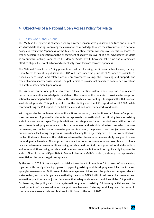# <span id="page-26-0"></span>4 Objectives of a National Open Access Policy for Malta

# <span id="page-26-1"></span>4.1 Policy Goals and Visions

The Maltese R&I system is characterised by a rather conservative publication culture and a lack of structured data sharing. Improving the circulation of knowledge through the introduction of a national policy addressing the 'openness' of the Maltese scientific system will improve scientific research, as well as accelerate innovation and the engagement of society. This will elicit clear advantages for Malta as an outward looking island-based EU Member State. It will, however, take time and a significant effort to align all relevant actors and collectively move forward towards openness.

The National Open Access Policy presents a roadmap focusing on different subject areas, namely: Open Access to scientific publications, ORD/FAIR Data under the principle of "as open as possible, as closed as necessary", and related actions on awareness raising, skills, training and support, and research and researcher assessment. The policy aims to provide actions which comprehensively lead to a state of immediate Open Access.

The vision of this national policy is to create a local scientific system where 'openness' of research outputs and scientific knowledge is the default. The mission of this policy is to provide a future-proof, actionable roadmap for Malta to achieve this vision while also enabling it to align itself with European level developments. This policy builds on the findings of the PSF report of April 2020, while contextualizing the PSF report in the Maltese context and local framework conditions.

With regards to the implementation of the actions presented, the adoption of a "phase-in" approach is recommended. A phased implementation approach is a method of transitioning from an existing state to a new one in stages. The policy defines concrete phases for each subject area, with actions at each phase developing experience, skills, competences, and establish infrastructure, which become permanent, and built-upon in successive phases. As a result, the phases of each subject area build on previous ones, facilitating the process towards achieving the projected goals. This is also coupled with the fact that each phase and the relations between the phases have been carefully designed to make the end goal achievable. This approach renders the policy as operational as possible and strikes a balance between an over-ambitious policy, which would not find the support of local stakeholders, and an unambitious policy, which would be uncontroversial but would not significantly improve the state of Open Access and Open Data in Malta. In line with Malta's context, a step-by-step approach is essential for the policy to gain acceptance.

By the end of 2025, it is envisaged that Malta transitions to immediate OA in terms of publications, together with the significant progress in upgrading existing and developing new infrastructure and synergies necessary for FAIR research data management. Moreover, the policy encourages relevant stakeholders, and provides guidance so that by the end of 2025, institutional research assessment and evaluation practices are adjusted in a way that adequately reward and incentivize OA practices. Furthermore, the policy calls for a systematic upgrade of existing OA training activities and the development of well-coordinated support mechanisms fostering upskilling and increase in competences across all relevant Maltese institutions by the end of 2025.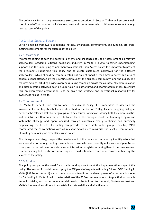The policy calls for a strong governance structure as described in Section 7, that will ensure a wellcoordinated effort based on inclusiveness, trust and commitment which ultimately ensures the longterm success of this policy.

# <span id="page-27-0"></span>4.2 Critical Success Factors

Certain enabling framework conditions, notably, awareness, commitment, and funding, are crosscutting requirements for the success of the policy.

#### <span id="page-27-1"></span>4.2.1 Awareness

Awareness raising of both the potential benefits and challenges of Open Access among all relevant stakeholders (academia, citizens, politicians, industry) in Malta is pivotal to foster understanding, support, and the underlying commitment to a national Open Access policy. It is important to present the arguments supporting this policy and to create customised narratives for the different stakeholders, which should be communicated not only at specific Open Access events but also at general events attended by the scientific community, the business community, and the public. This requires actions including a wide awareness raising campaign across the country. All communication and dissemination activities must be undertaken in a structured and coordinated manner. To ensure this, an overarching organization is to be given the strategic and operational responsibility for awareness raising in Malta.

#### <span id="page-27-2"></span>4.2.2 Commitment

For Malta to benefit from this National Open Access Policy, it is imperative to ascertain the involvement of all key stakeholders as described in the Section 7. Regular and on-going dialogue, between the relevant stakeholder groups must be ensured, whilst considering both the communalities and the intrinsic differences that exist between them. This dialogue should be driven by a logical and systematic strategy and operationalised through narratives clearly outlining and succinctly emphasizing the benefits the policy can provide to each stakeholder group. Thus far, MCST coordinated the conversations with all relevant actors as to maximise the level of commitment, ultimately developing an over-all inclusive policy.

This dialogue needs to go beyond the development of this policy to continuously identify actors that are currently not among the key stakeholders, those who are currently not aware of Open Access issues, and those that have not yet conveyed interest. Although incentivising them to become involved is a demanding task, such bottom-up support could ultimately contribute towards enhancing the success of the policy.

# <span id="page-27-3"></span>4.2.3 Funding

This policy recognizes the need for a stable funding structure at the implementation stage of this policy. The economic model drawn up by the PSF panel of experts estimating OA and ORD funding in Malta (PSF Report Annex I), can act as a basis and feed into the development of an economic model for OA funding in Malta. As with the translation of the PSF recommendations into practical, actionable items for Malta, such an economic model needs to be tailored to the local, Maltese context and Malta's framework conditions to ascertain its sustainability and effectiveness.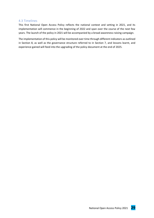# <span id="page-28-0"></span>4.3 Timelines

This first National Open Access Policy reflects the national context and setting in 2021, and its implementation will commence in the beginning of 2022 and span over the course of the next few years. The launch of the policy in 2021 will be accompanied by a broad awareness-raising campaign.

The implementation of this policy will be monitored over time through different indicators as outlined in Section 8, as well as the governance structure referred to in Section 7, and lessons learnt, and experience gained will feed into the upgrading of the policy document at the end of 2025.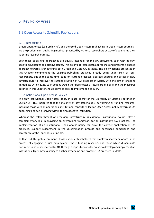# <span id="page-29-0"></span>5 Key Policy Areas

# <span id="page-29-1"></span>5.1 Open Access to Scientific Publications

#### <span id="page-29-2"></span>5.1.1 Introduction

Green Open Access (self-archiving), and the Gold Open Access (publishing in Open Access Journals), are the predominant publishing methods practiced by Maltese researchers by way of opening-up their scientific research outputs.

Both these publishing approaches are equally essential for the OA ecosystem, each with its own specific advantages and disadvantages. This policy addresses both approaches and presents a phased approach towards strengthening both Green and Gold OA in Malta. The policy actions presented in this Chapter complement the existing publishing practices already being undertaken by local researchers, but at the same time build on current practices, upgrade existing and establish new infrastructure to improve the current situation of OA practices in Malta, with the aim of enabling immediate OA by 2025. Such actions would therefore foster a 'future proof' policy and the measures outlined in this Chapter should serve as tools to implement it as such.

#### <span id="page-29-3"></span>5.1.2 Institutional Open Access Policies

The only institutional Open Access policy in place, is that of the University of Malta as outlined in Section 2. This indicates that the majority of key stakeholders performing or funding research, including those with an operational institutional repository, lack an Open Access policy governing OA publishing and self-archiving within their respective institution.

Whereas the establishment of necessary infrastructure is essential, institutional policies play a complementary role in providing an overarching framework for an institution's OA practices. The implementation of an institutional Open Access policy can drive the correct application of OA practices, support researchers in the dissemination process and spearhead compliance and acceptance of the 'openness' principle.

To that end, this policy commends those national stakeholders that employ researchers, or are in the process of engaging in such employment, those funding research, and those which disseminate documents and other material in OA through a repository or otherwise, to develop and implement an institutional Open Access policy to further streamline and promote OA practices in Malta.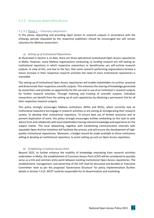#### <span id="page-30-0"></span>5.1.3 UPSCALING GREEN OPEN ACCESS

#### <span id="page-30-1"></span>5.1.3.1 Phase  $1 -$  Voluntary deposition

In this phase, depositing and providing Open Access to research outputs in accordance with the embargo periods stipulated by the respective publishers should be encouraged but will remain voluntary for Maltese researchers.

#### *a) Setting up of Institutional Repositories*

As illustrated in Section 2, to date, there are three operational institutional Open Access repositories in Malta. However, many Maltese organizations conducting, or funding research are still lacking an institutional repository in which respective researchers or beneficiaries can self-archive research outputs. In view of this, and due to the fact, that some research performing organizations foresee a future increase in their respective research activities the need of more institutional repositories is inevitable.

The setting up of institutional Open Access repositories will enable stakeholders to archive, preserve and disseminate their respective scientific outputs. This enhances the sharing of knowledge generated by researchers and provides an opportunity for the use and re-use of an institution's research outputs for further research activities. Through indexing and tracking of scientific outputs, individual researchers can benefit from the setting up of such repositories by obtaining a permanent link for all their respective research outputs.

This policy strongly encourages Maltese institutions (RPOs and RFOs), which currently lack an institutional repository but engage in research activities or are aiming at reinvigorating their research system, to develop their institutional repository. To ensure best use of limited resources and to prevent duplication of work, this policy strongly encourages entities embarking on this task to seek advice from and collaborate with local stakeholders having relevant knowledge and experience on the subject matter. This local networking, together with establishing communication channels with reputable Open Archive Initiatives will facilitate the process and will ensure the development of highquality institutional repositories. Moreover, a budget should be made available to those institutions willing to develop an institutional repository, to assist setting up such an Open Access repository.

#### *b) Establishing a Common Access Point*

Beyond 2025, to further enhance the mobility of knowledge emanating from research activities undertaken in Malta, the establishment of Common Access Point (CAP) will be considered to possibly serve as a link and common entry point between existing institutional Open Access repositories. The establishment, management, and ownership of the CAP shall be discussed and decided at 'Executive Committee' level as per the proposed 'Governance Structure' for policy implementation (further details in *Section 7.4.2*). MCST could be responsible for its dissemination and marketing.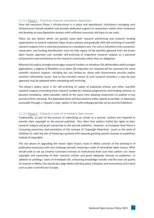# <span id="page-31-0"></span>5.1.3.2 Phase 2 - Transition towards mandatory deposition

Once the necessary Phase 1 infrastructure is in place and operational, institutions managing such infrastructure should establish and provide dedicated support to researchers within their institution and develop an easy deposition process with sufficient resources and easy-to-use tools.

These are key factors which can greatly assist both research performing and research funding organizations to amend respective Open Access policies and gradually shift self-archiving of scientific research outputs from a voluntary practice to a mandatory one. For such a transition to be successful, researchers and funding beneficiaries must be fully aware of the benefits gleaned from the Green Open Access approach and consider self-archiving of respective research outputs as a personal achievement and contribution to the research community rather than an obligation.

Whereas this policy strongly encourages research funders to introduce OA deliverables within project applications, a degree of flexibility as to when OA requisites are imposed will be necessary for some scientific research outputs, including but not limited to, those with Government security and/or sensitive information issues. Due to the sensitive nature of such research activities, a case-by-case approach may be adopted when mandating self-archiving.

This phase's policy vision is for self-archiving of copies of published articles and other scientific research outputs emanating from research funded by national programmes and funding schemes to become mandatory, when possible, whilst at the same time allowing researchers to publish in any journal of their choosing. The deposited items will then become either openly accessible, or otherwise accessible through a 'request a copy' option in line with embargo periods set by Journal Publishers.

# <span id="page-31-1"></span>5.1.3.3 Phase 3 - Towards a state of immediate Open Access

Traditionally, as part of the process of submitting an article to a journal, authors are required to transfer their copyright to the journal publisher. This infers that authors forfeit the rights to their research outputs and grant ownership to the journal publisher. However, at European level there is increasing awareness and promotion of the concept of 'Copyright Retention', (such as the work of cOAlition S), with the aim of fostering a gradual shift towards granting specific licenses to publishers instead of copyrights.

This last phase of upgrading the Green Open Access route in Malta consists of the phasing-in of publication processes with zero embargo periods, fostering a state of immediate Open Access. RPOs should seek to set up Creative Commons licenses at institutional level such that authors can retain copyright and ownership of their research articles and grant adequate licenses to publishers. In addition to yielding a state of immediate OA, enhancing knowledge transfer and the over-all quality of research in Malta, this would also align Malta with key policy initiatives and instruments at EU level such as plan S and Horizon Europe.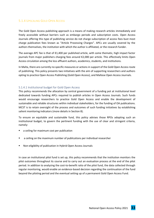# <span id="page-32-0"></span>5.1.4 UPSCALING GOLD OPEN ACCESS

The Gold Open Access publishing approach is a means of making research articles immediately and freely accessible without barriers such as embargo periods and subscription costs. Open Access Journals offering this type of publishing service do not charge subscription of access fees bust most charge publication fees known as "Article Processing Charges". APCs are usually covered by the authors themselves, the institution with which the author is affiliated, or the research funder.

The average APC fee is that of  $\epsilon$ 1,400 per published article, with some thematic, high impact factor journals from major publishers charging fees around €2,000 per article. This effectively limits Open Access circulation among the less affluent authors, academics, students, and institutions.

In Malta, there are currently no specific measures or actions in support of the Gold Open Access route of publishing. This policy presents two initiatives with the aim of supporting researchers and authors opting to practice Open Access Publishing (Gold Open Access), and Maltese Open Access Journals.

#### <span id="page-32-1"></span>5.1.4.1 Institutional budget for Gold Open Access

This policy recommends the allocation by central government of a funding pot at institutional level dedicated towards funding APCs required to publish articles in Open Access Journals. Such funds would encourage researchers to practice Gold Open Access and enable the development of sustainable and reliable structures within individual stakeholders, for the funding of OA publications. MCST is to retain oversight of the process and outcomes of such funding initiatives by establishing salient monitoring indicators (more details in Section 8).

To ensure an equitable and sustainable fund, this policy advises those RPOs adopting such an institutional budget, to govern the pertinent funding with the use of clear and stringent criteria, namely:

- a ceiling for maximum cost per publication
- a ceiling on the maximum number of publications per individual researcher
- Non-eligibility of publication in Hybrid Open Access Journals

In case an institutional pilot fund is set up, this policy recommends that the institution monitors the pilot outcomes throughout its course and to carry out an evaluation process at the end of the pilot period. In addition to analyzing the cost-to-benefit ratio of the pilot fund, the data collected through regular monitoring, would enable an evidence-based decision regarding the continuation of the fund beyond the piloting period and the eventual setting up of a permanent Gold Open Access Fund.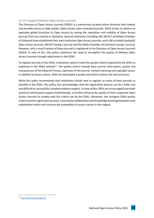# <span id="page-33-0"></span>5.1.4.2 Support Maltese Open Access Journals

The Directory of Open Access Journals (DOAJ) is a community-curated online directory that indexes and provides access to high quality, Open Access, peer-reviewed journals. DOAJ strives to achieve an equitable global transition to Open Access by raising the reputation and visibility of Open Access journals from any country or discipline. Several institutions including UM, MCAST and Malta Chamber of Scientists have established their own institution Open Access journals, with UM currently having 81 Open Access journals, MCAST having 1 journal and the Malta Chamber of Scientists having 1 journal. However, only a small fraction of these journals is registered in the Directory of Open Access Journals (DOAJ). In view of this, this policy underlines the need to strengthen the quality of Maltese Open Access Journals through registration in the DOAJ.

To register journals in the DOAJ, institutions need to meet the quality criteria imposed by the DOAJ as explained in the DOAJ website<sup>21</sup>. The quality criteria include basic journal information, quality and transparency of the Editorial Process, openness of the journal, content licensing and copyright issues. In addition to these criteria, DOAJ has developed a quality seal which outlines the best practices.

While this policy recommends that institutions should seek to register as many of their journals as possible in the DOAJ, this policy also acknowledges that the registration process can be a hefty one and difficult to successfully complete without support. In view of this, RPOs are encouraged to provide technical and financial support institutionally, to further enhance the quality of their respective Open Access Journals to comply with the criteria set by the DOAJ. Moreover, the stringent DOAJ quality criteria and the registration process, necessitate collaboration and knowledge exchange between local stakeholders which will increase the probability of success stories in this regard.

<sup>21</sup> <https://doaj.org/apply/guide/>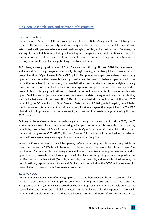# <span id="page-34-0"></span>5.2 Open Research Data and relevant Infrastructure

# <span id="page-34-1"></span>5.2.1 Introduction

Open Research Data, the FAIR Data concept, and Research Data Management, are relatively new topics to the research community, and not many countries in Europe or around the world have established and implemented relevant national strategies, policies, and infrastructures. Moreover, the sharing of research data is impeded by lack of adequate recognition since data citations are not yet a common practice, and by resistance from researchers who consider opening-up research data as a risk to jeopardize their individual publishing trajectory and impact.

At EU level, a strong signal in favor of Open Data was sent through Horizon 2020, its main research and innovation funding program, specifically through running a flexible pilot on Open Access to research entitled "Open Research Data (ORD) pilot". This pilot encouraged researchers to voluntarily open-up their respective research data by considering the need to balance openness with the protection of scientific information, commercialization, and intellectual property rights, privacy concerns, and security, and addresses data management and preservation. The pilot applied to research data underlying publications, but beneficiaries could also voluntarily make other datasets open. Participating projects were required to develop a data management plan, in which they specified what data will be open. This ORD pilot comprised all thematic areas of Horizon 2020 underlining the EC's ambition of "Open Research Data per default". Being a flexible pilot, beneficiaries could choose to 'opt-out' and not participate in the pilot at any stage of the project lifecycle. The ORD pilot aimed to improve and maximize access to, and re-use of research data generated by Horizon 2020 projects.

Building on the achievements and experience gained throughout the course of Horizon 2020, the EC aims to move a step closer towards fostering a European state in which research data is open by default, by moving beyond Open Access and promote Open Science within the ambit of the current framework programme (2021-2027), Horizon Europe. OS practices will be embedded in selected Horizon Europe work programs, depending on the scientific discipline.

In Horizon Europe, research data will be open by default under the principle "as open as possible, as closed as necessary." DMPs will become mandatory, even if research data is not open. The requirement for responsible data management will be separated from the requirement for providing open access to research data. More emphasis will be placed on supporting as much as possible the proliferation of data that is FAIR (findable, accessible, interoperable, and re-usable). Furthermore, the use of certified, reputable repositories and E-infrastructures including the EOSC will be required for research data in some Horizon Europe work programs.

# <span id="page-34-2"></span>5.2.2 FAIR Data

Despite the many advantages of opening-up research data, there seems to be less awareness of what the data science revolution will imply in terms implementing measures and associated costs. The European scientific system is characterized by shortcomings such as non-interoperable services and research data and limited cross-disciplinary access to research data. With the exponential increase in the size and complexity of research data, it is becoming more and more difficult for researchers to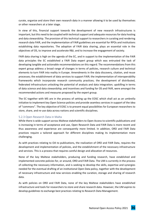curate, organize and store their own research data in a manner allowing it to be used by themselves or other researchers at a later stage.

In view of this, financial support towards the development of new research infrastructures is important, but this need to be coupled with technical support and adequate resources for data hosting and data stewardship. The provision of this technical support to researchers in curating and rendering research data FAIR, and the implementation of FAIR guidelines are essential for RPOs and institutions establishing data repositories. The adoption of FAIR data sharing, plays an essential role in the objectives of OS, to improve and accelerate R&I, and to increase the engagement of society.

FAIR data sharing is high on the agenda of the EC, and in support to the implementation of the FAIR data principles the EC established a FAIR Data expert group which was entrusted the task of developing tangible and actionable recommendations on this regard. The recommendations from this expert group address a broad range of changes in terms of policies, research culture and technical elements to turn FAIR into reality in Europe. Amendments in the data discovery, citation, and reuse processes; the establishment of data services to support FAIR; the implementation of interoperability frameworks which incorporate research community practices; the development of distributed, federated infrastructure unlocking the potential of analysis and data integration; upskilling in terms of data science and data stewardship; and incentives and funding for OS and FAIR, were amongst the recommended actions and measures proposed by the expert group.

The EC together with MS are in the process of setting up the EOSC which shall act as an umbrella initiative to implement key Open Science policies and provide seamless services in support of the idea of "commons". The key objective of EOSC is to present equal possibilities for European researchers to store, share, and re-use data across nations and scientific disciplines.

# <span id="page-35-0"></span>5.2.3 Open Research Data in Malta

While there is wide support across Maltese stakeholders to Open Access to scientific publications and is increasing in terms of acceptance and use, Open Research Data and FAIR Data is more recent and thus awareness and experience are consequently more limited. In addition, ORD and FAIR Data practices require a tailored approach for different disciplines making its implementation more challenging.

As with practices relating to OA to publications, the realization of ORD and FAIR Data, requires the development and implementation of policies, and the establishment of the necessary infrastructure and services. This is a process that requires careful design and allocation of resources.

None of the key Maltese stakeholders, producing and funding research, have established and implemented concrete policies for, or around, ORD and FAIR Data. The UM is currently in the process of collecting the necessary information, and is seeking to develop the skills, expertise and synergies needed for the eventual drafting of an institutional Open Data policy, together with the development of necessary infrastructure and new services enabling the curation, storage and sharing of research data.

As with policies on ORD and FAIR Data, none of the key Maltese stakeholders have established infrastructure and tools for researchers to store and share research data. However, the UM aspires to develop guidelines to exchange best practices relating to Research Data Management.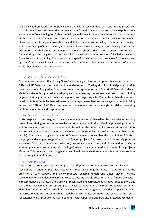This policy addresses both OA to publications and OA to research data, with priority and focus given to the former. The rationale for this approach stems from the fact that progress on OA to publications is the relative 'low hanging fruit', that can help pave the way for more awareness on, and acceptance of, the principle of 'openness' and its eventual extension to research data. This policy recommends a phased approach for Open Research Data and FAIR Data practices in Malta, both in terms of policies, and the setting up of infrastructure, where each phase develops, tests, and establishes processes and procedures, which become permanent in following phases. This national policy incorporates a framework spearheading the creation of a solid base in Malta for a future, more fully fledged National Open Research Data Policy, but stops short of specifics beyond Phase 1, to allow for a review and update of the policy in line with experience and lessons learnt. The details of the contents of Phase 1 are further elaborated on hereunder.

#### a) Voluntary Open Research Data

<span id="page-36-0"></span>This policy recommends that during Phase 1 a voluntary exploration of options is adopted in terms of ORD and FAIR Data practices for all publicly funded research. The key aim of this initial phase is to kickstart the process of upgrading Malta's current state-of-play in terms of Open/FAIR Data with relevant Maltese stakeholders gradually developing and implementing the necessary infrastructure, including targeted training activities, technical support, and legal aspects. The roll-out benefits of such developments will entail enhanced awareness amongst researchers and key players, capacity building in terms of ORD and FAIR Data practices, and development of new synergies in Malta, preventing duplication of efforts and fragmentation.

#### b) Data Management Plans

<span id="page-36-1"></span>DMPs are pivotal to ensure good data management practices as these describe the decisions made by researchers relating to the methodologies and standards used in the collection, processing, curation, and preservation of research data generated throughout the life cycle of a project. Moreover, DMPs are crucial in the process of rendering research data FAIR (findable, accessible, interoperable, and reusable). This policy strongly encourages RFOs to include as a deliverable, the submission of DMPs at the proposal developing stage of a national funded projects. This exercise will potentially promote awareness for issues around, data collection, processing, preservation, and dissemination, as well as a pre-emptive measure avoiding mishandling of research data generated at all stages of the project's life cycle. This policy also encourages the use of well-established, reputable DMP template services for the compilation of DMPs.

#### c) FAIR practices

<span id="page-36-2"></span>This national policy strongly encourages the adoption of FAIR practices. Technical support to researchers in rendering their data sets FAIR is important during this phase. In order to ensure the provision of such support, this policy requests research funders and other relevant Maltese stakeholders to allow data stewardship costs to become eligible costs in national funded projects. It is recommended that researchers use well-recognised and accredited data repositories to store and share data. Researchers are encouraged to seek to deposit in data repositories with persistent identifiers. In terms of accessibility, researchers are encouraged to use data repositories with unrestricted APIs for better machine readability. The policy promotes and endorses the use of repositories which produce metadata coherent with OpenAIRE and DataCite Metadata Guidelines,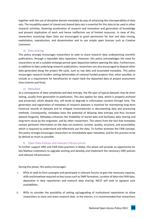together with the use of discipline domain metadata by way of enhancing the interoperability of data sets. The reusability aspect of stored and shared data sets is essential for this data to be used in other research activities, fostering acceleration of research and innovation and generation of knowledge and prevent duplication of work and hence ineffective use of limited resources. In view of this, researchers practicing Open Data are encouraged to grant permission for text and data mining, exploitation, reproduction, and dissemination and to use simple open licenses such as Creative Commons.

# d) Data sharing

<span id="page-37-0"></span>This policy strongly encourages researchers to seek to share research data underpinning scientific publications, through a reputable data repository. However, this policy acknowledges the need for researchers to set a suitable embargo period upon deposition before opening the data. Furthermore, in addition to data underlying research publications, researchers are also encouraged to deposit other data generated along the project life cycle, such as raw data and associated metadata. This policy encourages research funders setting deliverables of national funded projects that, when possible, to include as a requirement for beneficiaries to report back the deposited data at project assessment time (interim and final).

# e) Metadata

<span id="page-37-1"></span>As a consequence of data complexity and data entropy, the life span of typical datasets may be short lasting, usually from generation to publication. This also applies for data, which is properly archived and preserved, which despite this, still tends to degrade in information content through time. The generation and registration of metadata of research datasets is essential for maintaining long-term historical records of datasets and to mitigate inconsistencies in documenting data and processing methods. Consequently, metadata have the potential of delaying data entropy and thus increase dataset longevity. Metadata enhances the findability of stored data and facilitates data sharing and long-term reuse by the originator, and by other researchers. This stems from the fact that metadata contain pertinent information on the data set contents, context, quality, structure, and accessibility, which is required to understand and effectively use the data. To further promote the FAIR concept, this policy strongly encourages researchers to immediately open metadata, and for this practice to be by default as much as possible.

# f) Open Data Policies and relevant Infrastructure

<span id="page-37-2"></span>To further support ORD and FAIR Data practices in Malta, this phase will provide an opportunity for key Maltese institutions to upgrade existing and develop and implement the necessary ORD policies and relevant infrastructure.

During this phase, this policy encourages:

- i. RPOs to seek to form synergies and participate in relevant forums to gain the necessary capacity, skills and knowhow required on key issues such as DMP formation, curation of data into FAIR data, deposition in data repositories and research data sharing. MCST will seek to signpost such availabilities.
- ii. RPOs to consider the possibility of setting up/upgrading of institutional repositories to allow researchers to store and share research data. In the interim, it is recommended that researchers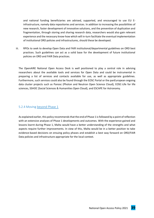and national funding beneficiaries are advised, supported, and encouraged to use EU Einfrastructure, namely data repositories and services. In addition to increasing the possibilities of new research, faster development of innovative solutions, and the prevention of duplication and fragmentation, through storing and sharing research data, researchers would also gain relevant experience and the necessary know-how which will in-turn facilitate the eventual implementation of institutional ORD policies and infrastructures, should these be developed.

iii. RPOs to seek to develop Open Data and FAIR institutional/departmental guidelines on ORD best practices. Such guidelines can act as a solid base for the development of future institutional policies on ORD and FAIR Data practices.

The OpenAIRE National Open Access Desk is well positioned to play a central role in advising researchers about the available tools and services for Open Data and could be instrumental in preparing a list of services and contacts available for use, as well as appropriate guidelines. Furthermore, such services could also be found through the EOSC Portal or the panEuropean ongoing data cluster projects such as Panosc (Photon and Neutron Open Science Cloud), EOSC-Life for life sciences, SSHOC (Social Sciences & Humanities Open Cloud), and ESCAPE for Astronomy.

# <span id="page-38-0"></span>5.2.4 Moving beyond Phase 1

As explained earlier, this policy recommends that the end of Phase 1 is followed by a point of reflection with an extensive analyses of Phase 1 developments and outcomes. With the experience gained and lessons learnt during Phase 1, Malta would have a better understanding of the strengths and what aspects require further improvements. In view of this, Malta would be in a better position to take evidence-based decisions on ensuing policy phases and establish a best way forward on ORD/FAIR Data policies and infrastructure appropriate for the local context.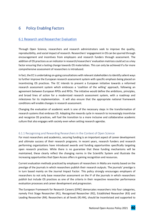# <span id="page-39-0"></span>6 Policy Enabling Factors

# <span id="page-39-1"></span>6.1 Research and Researcher Evaluation

Through Open Science, researchers and research administrators seek to improve the quality, reproducibility, and social impact of research. Researchers' engagement in OS can be spurred through encouragement and incentives from employers and research funders through assessment. The addition of OS practices as an indicator in research/researchers' evaluation matrices could act as a key factor ensuring that a lasting change towards OS materializes. This can only be achieved if a far more comprehensive assessment of researchers is introduced.

In fact, the EC is undertaking on-going consultations with relevant stakeholders to identify salient ways to further improve the European research assessment system with specific emphasis being placed on incentivizing OS practices. The EC intends to present a European initiative towards a reformed research assessment system which embraces a 'coalition of the willing' approach, following an agreement between European RPOs and RFOs. The initiative would define the ambitions, principles, and broad lines of action for a modernized research assessment system, with a roadmap and milestones for its implementation. It will also ensure that the appropriate national framework conditions will enable changes in research assessment.

Changing the evaluation of academic work is one of the necessary steps in the transformation of research systems that embrace OS. Adapting the rewards cycle in research to increasingly incentivize and recognize OS practices, will fuel the transition to a more inclusive and collaborative academic culture that also engages with society even when setting research agendas.

# <span id="page-39-2"></span>6.1.1 Recognising and Rewarding Researchers in the Context of Open Science

For most researchers and academics, securing funding is an important aspect of career development and ultimate success of their research programs. In recent years, research funders and research performing organizations have introduced awards and funding opportunities specifically targeting open research practices. While there is no guarantee that these funding mechanisms will be maintained, these clearly reflect the changing norms in the Scientific System and illustrate the increasing opportunities that Open Access offers in gaining recognition and resources.

Current evaluation methods practiced by employers of researchers in Malta are mainly based on the prestige of the journals in which researchers publish their research outputs. The journals' prestige is in turn based mainly on the Journal Impact Factor. This policy strongly encourages employers of researchers to not only base researcher assessment on the IF of the journals in which researchers publish but include OS practices as one of the criteria in their respective researcher performance evaluation processes and career development and progression.

The European Framework for Research Careers (EFRC) demarcates researchers into four categories, namely First Stage Researcher (R1), Recognised Researcher (R2), Established Researcher (R3) and Leading Researcher (R4). Researchers at all levels (R1-R4), should be incentivized and supported to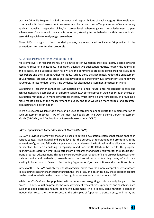practice OS while keeping in mind the needs and responsibilities of each category. New evaluation criteria in institutional assessment processes must be fair and must offer guarantees of treating every applicant equally, irrespective of his/her career level. Whereas giving acknowledgement to past achievements/practices with rewards is important, steering future behaviors with incentives is also essential especially for early-stage researchers.

Those RFOs managing national funded projects, are encouraged to include OS practices in the evaluation criteria for funding proposals.

# <span id="page-40-0"></span>6.1.2 Research/Researcher Evaluation Tools

Most employers of researchers rely on a limited set of evaluation practices, mostly geared towards assessing research publications. In addition, quantitative publication metrics, notably the Journal IF and H-index, and qualitative peer review, are the commonest practices considered for evaluating researchers and their output. Other methods, such as those that adequately reflect the engagement of OS practices, are less widespread and less developed as part of individual-level incentive and reward structures. In fact, to date, there is no evidence for alternative assessment practices in Malta.

Evaluating a researcher cannot be summarized by a single figure since researchers' merits and achievements are a complex set of different variables. A better approach would be through the use of evaluation methods with multi-dimensional criteria, which have a higher probability of providing a more realistic proxy of the measurement of quality and thus would be more reliable and accurate, eliminating any discrimination.

There are several available tools that can be used to streamline and facilitate the implementation of such assessment methods. Two of the most used tools are The Open Science Career Assessment Matrix (OS-CAM), and Declaration on Research Assessment (DORA).

#### **(a) The Open Science Career Assessment Matrix (OS-CAM)**

OS-CAM provides a framework that can be used to develop evaluation systems that can be applied in various contexts at individual and group level, for the purpose of recruitment and promotion, in the evaluation of grant and fellowship applications and to develop institutional funding allocation models or incentives focused on building OS capacity. In addition, the OS-CAM can be used for this purpose, taking into consideration what is expected from a researcher and what is relevant for the specific post, grant, or career advancement. This tool incorporates broader aspects of being an excellent researcher, such as service and leadership, research impact and contribution to teaching, many of which are starting to be included in Research Performing Organisations' job descriptions and promotion criteria.

In view of this, OS-CAM possibly represents a practical move towards a more comprehensive approach to evaluating researchers, including through the lens of OS, and describes how these broader aspects can be considered within the context of recognising researcher's contributions to OS.

While the OS-CAM can be populated with numbers and weightings, this can only be part of the process. In any evaluation process, the wide diversity of researchers' experiences and capabilities are such that good decisions require qualitative judgement. This is ideally done through a panel of independent researchers who, respecting the principles of 'openness', transparency, and merit, are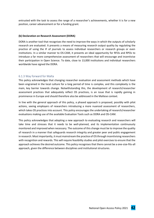entrusted with the task to assess the range of a researcher's achievements, whether it is for a new position, career advancement or for a funding grant.

#### **(b) Declaration on Research Assessment (DORA)**

DORA is another tool that recognises the need to improve the ways in which the outputs of scholarly research are evaluated. It presents a means of measuring research output quality by regulating the practice of using the IF of journals to assess individual researchers or research groups or even institutions. In a similar manner to OS-CAM, it presents an ideal opportunity for RFOs and RPOs to introduce a far more comprehensive assessment of researchers that will encourage and incentivise their participation in Open Science. To date, close to 13,000 institutions and individual researchers worldwide have signed the DORA.

#### <span id="page-41-0"></span>6.1.3 Way forward for Malta

This policy acknowledges that changing researcher evaluation and assessment methods which have been engrained in the local culture for a long period of time is complex, and this complexity is the main, key barrier towards change. Notwithstanding this, the development of research/researcher assessment practices that adequately reflect OS practices, is an issue that is rapidly gaining in prominence in Europe and should therefore also be addressed in the Maltese context.

In line with the general approach of this policy, a phased approach is proposed, possibly with pilot actions, seeing employers of researchers introducing a more nuanced assessment of researchers, which takes OS practices into account. This policy encourages the undertaking of research/researcher evaluations making use of the available Evaluation Tools such as DORA and OS-CAM.

This policy acknowledges that adopting a new approach to evaluating research and researchers will take time and stresses that it needs to be well-planned, and its implementation continuously monitored and improved when necessary. The outcome of this change must be to improve the quality of research in a manner that safeguards research integrity and greater peer and public engagement in research. Most importantly, it must mainstream the practice of OS through incentivising researchers with recognition and rewards. This will require feasibility studies and pilot exercises to ensure that the approach achieves the desired outcome. This policy recognises that there cannot be a one-size-fits-all approach, given the difference between disciplines and institutional structures.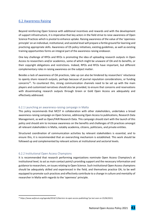# <span id="page-42-0"></span>6.2 Awareness Raising

Beyond reinforcing Open Science with additional incentives and rewards and with the development of support infrastructure, it is imperative that key actors in the field strive to raise awareness of Open Science Practices which is pivotal to enhance uptake. Raising awareness of the value of the 'openness principle' on an individual, institutional, and societal level will prepare a fertile ground for learning and practicing appropriate skills. Awareness of OS policy initiatives, existing guidelines, as well as existing training opportunities forms an integral part of the awareness raising endeavor.

One key challenge of RPOs and RFOs is promoting the idea of uploading research outputs in Open Access to researchers and/or academics, some of which might be unaware of OA and its benefits, or their copyright obligations and restrictions. Indeed, RPOs and RFOs have important, but different complementary roles in raising awareness on the subject matter.

Besides a lack of awareness of OA practices, take up can also be hindered by researchers' reluctance to openly share research outputs, perhaps because of journal reputation considerations, or funding concerns<sup>22</sup>. To counteract this, strong communication channels need to be set up with the main players and customized narratives should also be provided, to ensure that concerns and reservations with disseminating research outputs through Green or Gold Open Access are adequately and effectively addressed.

# <span id="page-42-1"></span>6.2.1 Launching an awareness-raising campaign in Malta

This policy recommends that MCST in collaboration with other stakeholders, undertakes a broad awareness-raising campaign on Open Science, addressing Open Access to publications, Research Data Management, as well as Open/FAIR Research Data. This campaign should start with the launch of this policy and should aim to increase awareness on the benefits and challenges of OS practices amongst all relevant stakeholders in Malta, notably academia, citizens, politicians, and private entities.

Structured coordination of communication activities by relevant stakeholders is essential, and to ensure this, it is recommended that an overarching mechanism is established. This work should be followed up and complemented by relevant actions at institutional and sectorial levels.

# <span id="page-42-2"></span>6.2.2 Institutional Open Access Champions

It is recommended that research performing organizations nominate Open Access Champion/s at institutional level, to act as main contact point/s providing support and the necessary information and guidance to researchers, on issues relating to Open Science. Such institutional Open Access champions should be adequately skilled and experienced in the field, and themselves practice OA, to be well equipped to promote such practices and effectively contribute to a change in culture and mentality of researcher in Malta with regards to the 'openness' principle.

*<sup>22</sup> <https://www.weforum.org/agenda/2014/11/barriers-to-open-access-publishing/>* (as last seen on 25/06/2021)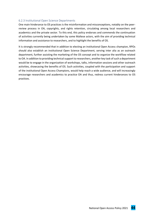# <span id="page-43-0"></span>6.2.3 Institutional Open Science Departments

One main hinderance to OS practices is the misinformation and misconceptions, notably on the peerreview process in OA, copyrights, and rights retention, circulating among local researchers and academics and the private sector. To this end, this policy endorses and commends the continuation of activities currently being undertaken by some Maltese actors, with the aim of providing technical information and assistance to researchers, and to highlight the benefits of OS.

It is strongly recommended that in addition to electing an institutional Open Access champion, RPOs should also establish an institutional Open Science Department, serving inter alia as an outreach department, further assisting the marketing of the OS concept and to organize the workflow related to OA. In addition to providing technical support to researchers, another key task of such a department would be to engage in the organization of workshops, talks, information sessions and other outreach activities, showcasing the benefits of OS. Such activities, coupled with the participation and support of the institutional Open Access Champions, would help reach a wide audience, and will increasingly encourage researchers and academics to practice OA and thus, redress current hinderances to OS practices.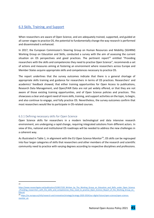# <span id="page-44-0"></span>6.3 Skills, Training, and Support

When researchers are aware of Open Science, and are adequately trained, supported, and guided at all career stages to practice OS, the potential to fundamentally change the way research is performed and disseminated is enhanced.

In 2017, the European Commission's Steering Group on Human Resources and Mobility (SGHRM) Working Group on Education and Skills, conducted a survey with the aim of assessing the current situation on OS perspectives and good practices. The pertinent report<sup>23</sup> entitled "Providing researchers with the skills and competencies they need to practise Open Science", recommends a set of actions and measures aiming at fostering an environment where researchers across Europe and Member States acquire appropriate skills and competences necessary to practice OS.

The report underlines that the survey outcomes indicate that there is a general shortage of appropriate skills training and guidance for researchers in terms of OS practices. Researchers' and academics' feedback showed, that either training opportunities for Open Access to publications, Research Data Management, and Open/FAIR Data are not yet widely offered, or that they are not aware of those existing training opportunities, and of Open Science policies and practices. This showcases a clear and urgent need of more skills, training, and support activities on the topic, to begin, and also continue to engage, and fully practice OS. Nevertheless, the survey outcomes confirm that most researchers would like to participate in OS-related courses.

# <span id="page-44-1"></span>6.3.1 Defining necessary skills for Open Science

Open Science skills for researchers in a modern technological and data intensive research environment, are undergoing a rapid change, requiring integrated solutions from different actors. In view of this, national and institutional OS roadmaps will be needed to address the new challenges in a coherent way.

As illustrated in Table 1, in alignment with the EU Open Science Monitor<sup>24</sup>, OS skills can be regrouped into four larger categories of skills that researchers and other members of the research and scientific community need to practice with varying degrees according to respective disciplines and professions.

 $23$ 

[https://www.researchgate.net/publication/319017220\\_Written\\_by\\_The\\_Working\\_Group\\_on\\_Education\\_and\\_Skills\\_under\\_Open\\_Science](https://www.researchgate.net/publication/319017220_Written_by_The_Working_Group_on_Education_and_Skills_under_Open_Science_Providing_researchers_with_the_skills_and_competencies_they_need_to_practise_Open_Science_Report_of_the_Working_Group_on_Educati) Providing researchers with the skills and competencies they need to practise Open Science Report of the Working Group on [Educati](https://www.researchgate.net/publication/319017220_Written_by_The_Working_Group_on_Education_and_Skills_under_Open_Science_Providing_researchers_with_the_skills_and_competencies_they_need_to_practise_Open_Science_Report_of_the_Working_Group_on_Educati)

<sup>24</sup> [https://ec.europa.eu/info/research-and-innovation/strategy/strategy-2020-2024/our-digital-future/open-science/open-science](https://ec.europa.eu/info/research-and-innovation/strategy/strategy-2020-2024/our-digital-future/open-science/open-science-monitor_en)[monitor\\_en](https://ec.europa.eu/info/research-and-innovation/strategy/strategy-2020-2024/our-digital-future/open-science/open-science-monitor_en)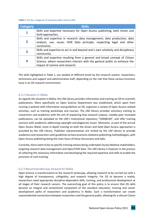<span id="page-45-2"></span>*Table 1*: the four categories of necessary Open Science skills.

| <b>Category</b> | <b>Skills</b>                                                                  |  |
|-----------------|--------------------------------------------------------------------------------|--|
|                 | Skills and expertise necessary for Open Access publishing, both Green and      |  |
|                 | Gold approaches.                                                               |  |
|                 | Skills and expertise in research data management; data production; data        |  |
| $\overline{2}$  | analysis, use, reuse; FAIR Data principle, respecting legal and other          |  |
|                 | constraints.                                                                   |  |
| 3               | Skills and expertise to act in and beyond one's own scholarly and disciplinary |  |
|                 | community.                                                                     |  |
|                 | Skills and expertise resulting from a general and broad concept of Citizen     |  |
| 4               | Science, where researchers interact with the general public to enhance the     |  |
|                 | impact of science and research.                                                |  |

The skills highlighted in Table 1, are needed at different levels by the research system; researchers, technicians,and support and administrative staff, depending on the role that these various functions have in an OS research environment.

#### <span id="page-45-0"></span>6.3.2 Situation in Malta

As regards the situation in Malta, the UM Library provides information and training on OA to scientific publications. More specifically an Open Science Department was established, which apart from running a website with information and guidelines on OS, organises a variety of Open Access-related activities, such as training workshops and courses. The UM Library provides voluntary training to researchers and academics with the aim of explaining how research outputs, notably peer-reviewed publications, can be uploaded on the UM's institutional repository "OAR@UM", and offer training sessions with academics addressing copyright and plagiarism issues. Moreover, as part of the annual Open Access Week, more in-depth training on both the Green and Gold Open Access approaches is provided by the UM Library. Publisher representatives are invited by the UM Library to provide academics and researchers with guidelines on best practices related to publishing methodologies, with Open Access publishing being the main focus of these discussions and talks.

Currently, there seem to be no specific training actions being undertaken by key Maltese stakeholders, targeting research data management and Open/FAIR Data. The UM Library is however in the process of collecting the necessary information and developing the required expertise and skills to enable the provision of such training.

# <span id="page-45-1"></span>6.3.3 Recommended way forward for Malta

Open Science is transformative to the research landscape, allowing research to be carried out with a high degree of transparency, collegiality, and research integrity. For OS to become a reality, researchers need appropriate discipline-dependent skills, training, and professional development at all stages of their research careers. The overarching goal of this policy is to ensure that OS skills become an integral and streamlined component of the standard education, training and career development paths of researchers and academics in Malta. Such a transformation can create unprecedented connections between researchers and the general public, allowing for a vibrant Citizen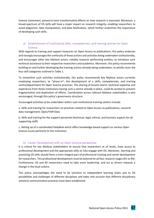Science movement, poised to have transformative effects on how research is executed. Moreover, a broad-spectrum of OS skills will have a major impact on research integrity, enabling researchers to avoid plagiarism, data manipulation, and data falsification, which further underlines the importance of developing such skills.

# <span id="page-46-0"></span>a) Establishment of institutional skills, competencies, and training centres for Open Science

With regards to training and support measures on Open Access to publications, this policy endorses and strongly encourages the continuity of those actions and activities being undertaken institutionally, and encourages other key Maltese actors, notably research performing entities, to introduce such technical assistance to their respective researchers and academics. Moreover, this policy recommends building on and further developing the training actions already being undertaken, to wholly cover the four skill categories outlined in Table 1.

To streamline such activities institutionally, this policy recommends key Maltese actors currently employing researchers, to "phase-in", the development of a skills, competencies, and training centre/department for Open Science practices. The sharing of lessons learnt, technical expertise and experience from those institutions having such a centre already in place, could be pivotal to prevent fragmentation and duplication of efforts. Coordination across relevant Maltese stakeholders is also encouraged, through this policy's governance structure.

Encouraged activities to be undertaken within such institutional training centers include:

a. Skills and training for researchers on practices related to Open Access to publications, research data management, Open/FAIR Data

b. Skills and training for the support personnel (technical, legal, ethical, and business aspects for all supporting staff)

c. Setting up of a coordinated Helpdesk which offers knowledge-based support on various Open Science issues pertinent to the institution.

# b) Career Development with an Open Science perspective

<span id="page-46-1"></span>It is critical for key Maltese stakeholders to ensure that researchers at all levels, have access to professional development and the appropriate skills to fully engage with OS. Moreover, learning and practicing OS skills should form a more integral part of professional training and career development for researchers. This professional development must be tailored for all four research stages (R1 to R4). Furthermore, R3 and R4 researchers need to take more leadership, and act as drivers towards a change in the local culture.

This policy acknowledges the need to be sensitive to independent learning styles and to OS possibilities and challenges of different disciplines and takes into account that different disciplinary scholarly communication practices have been established.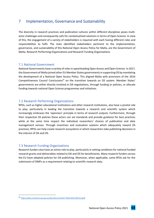# <span id="page-47-0"></span>7 Implementation, Governance and Sustainability

The diversity in research practices and publication cultures within different disciplines poses multiactor challenges and consequently calls for contextualized solutions in terms of Open Science. In view of this, the engagement of a variety of stakeholders is required with each having different roles and responsibilities to fulfil. The main identified stakeholders pertinent to the implementation, governance, and sustainability of this National Open Access Policy for Malta, are the Government of Malta, Research Performing Organizations and Research Funding Organizations.

# <span id="page-47-1"></span>7.1 National Government

National Governments have a variety of rolesin spearheading Open Access and Open Science. In 2017, the Government of Malta joined other EU Member States governments in supporting OS by mandating the development of a National Open Access Policy. This aligned Malta with provisions of the 2016 Competitiveness Council Conclusions<sup>25</sup> on the transition towards an OS system. Member States' governments are either directly involved in OA negotiations, through funding or policies, or allocate funding towards national Open Science programmes and initiatives.

# <span id="page-47-2"></span>7.2 Research Performing Organizations

RPOs, such as higher educational institutions and other research institutions, also have a pivotal role to play, particularly in leading the transition towards a research and scientific system which increasingly embraces the 'openness' principle in terms of research outputs. Furthermore, through their respective OS policies these actors can set standards and provide guidance for best practices while at the same time respect the individual researchers' choices of publication and data management venues. Through incentives and evaluation systems which adequately reward OS practices, RPOs can help create research ecosystems in which researchers take publishing decisions in the interest of OA and OS.

# <span id="page-47-3"></span>7.3 Research Funding Organizations

Research funders also have an active role to play, particularly in setting conditions for national funded research grants and deliverables related to OA and OS for beneficiaries. Many research funders across the EU have adopted policies for OA publishing. Moreover, when applicable, some RFOs ask for the submission of DMPs as a requirement relating to scientific research data.

<sup>25</sup> <https://data.consilium.europa.eu/doc/document/ST-9526-2016-INIT/en/pdf>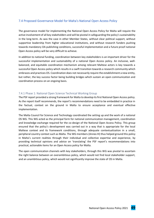# <span id="page-48-0"></span>7.4 Proposed Governance Model for Malta's National Open Access Policy

The governance model for implementing the National Open Access Policy for Malta will require the active involvement of all key stakeholders and will be pivotal in safeguarding the policy's sustainability in the long-term. As was the case in other Member States, without clear political support, without supportive leadership from higher educational institutions, and without research funders pushing towards mandatory OA publishing conditions, successful implementation and a future proof national Open Access policy will be very difficult to achieve.

In addition to national funding, coordination between key stakeholders is an important driver for the successful implementation and sustainability of a national Open Access policy. An inclusive, wellbalanced, and equitable coordination mechanism among relevant Maltese actors is key towards a successful Open Access policy which results in a swift transition towards a research community which embraces and practices OS. Coordination does not necessarily require the establishment a new entity, but rather, the key success factor being building bridges which sustain an open communication and coordination process on an ongoing basis.

# <span id="page-48-1"></span>7.4.1 Phase 1: National Open Science Technical Working Group

The PSF report provided a strong framework for Malta to develop its first National Open Access policy. As the report itself recommends, the report's recommendations need to be embedded in practice in the factual, context on the ground in Malta to ensure acceptance and eventual effective implementation.

The Malta Council for Science and Technology coordinated the setting up and the work of a national OS WG. This WG acted as the principal form for national communication management, coordination and knowledge exchange required for the co-design of the National Open Access Policy. This group ensured that the policy's development was carried out in a way that is appropriate for the local Maltese context and its framework conditions, through adequate contextualization in a small, peripheral country context such as Malta. The WG members (Annex III) thus helped ground this policy in Malta's current realities through their individual and collective expertise and experience, by providing technical opinions and advice on 'translating' the PSF report's recommendations into practical, actionable items for an Open Access policy for Malta.

The open communication channels with key stakeholders, through this WG was pivotal to ascertain the right balance between an overambitious policy, which would not find local stakeholder support, and an unambitious policy, which would not significantly improve the state of OS in Malta.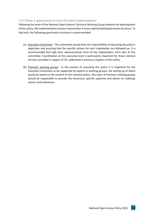# <span id="page-49-0"></span>7.4.2 Phase 2: governance structure for policy implementation

Following the work of the National Open Science Technical Working Group towards the development of this policy, the implementation process necessitates a more sophisticated governance structure. To that end, the following governance structure is recommended:

- (a) Executive Committee This committee would have the responsibility of executing the policy's objectives and ensuring that the specific actions for each stakeholder are followed up. It is recommended that high level representatives from all key stakeholders, form part of this committee. Coordination at this executive level is particularly important for those national services provided in support of OS, addressed in previous chapters of this policy.
- (b) Thematic working groups In the process of executing this policy it is important for the Executive Committee to be supported by experts in working groups, the setting up of which would be based on the content of this national policy. This layer of thematic working groups should be responsible to provide the necessary, specific expertise and advice on roadmap actions and milestones.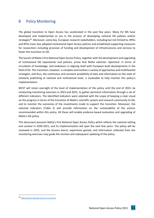# <span id="page-50-0"></span>8 Policy Monitoring

The global transition to Open Access has accelerated in the past few years. Many EU MS have developed and implemented or are in the process of developing national OA policies and/or strategies<sup>26</sup>. Moreover, some key, European research stakeholders, including but not limited to, RPOs and RFOs have also adopted institutional Open Access policies and established supporting measures for researchers including provision of funding and development of infrastructures and services to foster the transition to OA.

The launch of Malta's first National Open Access Policy, together with the development and upgrading of institutional OA repositories and policies, prove that Malta valorizes 'openness' in terms of circulation of knowledge, and endeavors in aligning itself with European-level developments in the field of OS. This transition, however, is complex and involves a variety of approaches and multifaceted strategies, and thus, the continuous and constant availability of data and information on the state of scholarly publishing at national and institutional level, is invaluable to help monitor this policy's implementation.

MCST will retain oversight of the level of implementation of this policy until the end of 2025, by conducting monitoring exercises in 2023 and 2025, to gather pertinent information through a set of different indicators. The identified indicators were selected with the scope of keeping a clear visual on the progress in terms of the transition of Malta's scientific system and research community to OA, and to monitor the outcomes of the investments made to support this transition. Moreover, the selected indicators (Table 2) will provide information on the sustainability of the actions recommended within this policy. All these will enable evidence-based evaluation and upgrading of Malta's OA policy.

This document presents Malta's first National Open Access Policy which reflects the national setting and context in 2020-2021, and its implementation will span the next few years. The policy will be reviewed in 2025, and the lessons learnt, experience gained, and information collected from the monitoring exercises may guide the revision and subsequent updating of the policy.

<sup>26</sup> *<https://www.openaire.eu/os-eu-countries>*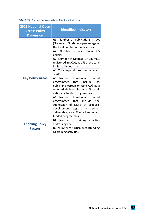<span id="page-51-0"></span>*Table 2:* 2021 National Open Access Policy Monitoring Indicators

| <b>2021 National Open</b><br><b>Access Policy</b><br><b>Dimension</b> | <b>Identified indicators</b>                                                                                                                                                                                 |
|-----------------------------------------------------------------------|--------------------------------------------------------------------------------------------------------------------------------------------------------------------------------------------------------------|
|                                                                       | A1: Number of publications in OA<br>(Green and Gold), as a percentage of<br>the total number of publications.<br>A2: Number of institutional<br>OS.                                                          |
| <b>Key Policy Areas</b>                                               | policies.                                                                                                                                                                                                    |
|                                                                       | A3: Number of Maltese OA Journals<br>registered in DOAJ, as a % of the total<br>Maltese OA journals.                                                                                                         |
|                                                                       | A4: Total expenditure covering costs<br>of APCs.                                                                                                                                                             |
|                                                                       | A5: Number of nationally funded<br>that<br>include<br>OA.<br>programmes<br>publishing (Green or Gold OA) as a<br>required deliverable, as a % of all<br>nationally funded programmes.                        |
|                                                                       | A6: Number of nationally funded<br>the<br>programmes<br>that<br>include<br>submission of DMPs at proposal<br>development stage, as a required<br>deliverable, as a % of all nationally<br>funded programmes. |
|                                                                       | <b>B1:</b> Number of training activities                                                                                                                                                                     |
| <b>Enabling Policy</b><br><b>Factors</b>                              | addressing OS.<br><b>B2: Number of participants attending</b><br>B1 training activities.                                                                                                                     |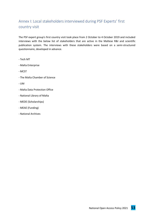# <span id="page-52-0"></span>Annex I: Local stakeholders interviewed during PSF Experts' first country visit

The PSF expert group's first country visit took place from 2 October to 4 October 2019 and included interviews with the below list of stakeholders that are active in the Maltese R&I and scientific publication system. The interviews with these stakeholders were based on a semi-structured questionnaire, developed in advance.

- Tech MT
- Malta Enterprise
- MCST
- The Malta Chamber of Science
- UM
- Malta Data Protection Office
- National Library of Malta
- MEDE (Scholarships)
- MEAE (Funding)
- National Archives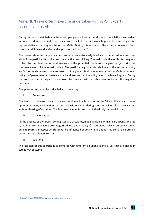# <span id="page-53-0"></span>Annex II: 'Pre-mortem' exercise undertaken during PSF Experts' second country visit

During our second visit to Malta the expert group undertook two workshopsto which the stakeholders interviewed during the first country visit were invited. The first workshop was held with high-level representatives from key institutions in Malta. During this workshop, the experts presented draft recommendations and performed a 'pre-mortem' exercise<sup>27</sup>.

The 'pre-mortem' technique can be considered as a risk analysis which is conducted in a way that elicits from participants, critical and outside the box thinking. The main objective of this technique is to lead to the identification and analyses of the potential problems of a given project prior the commencement of the actual project. The participating, local stakeholders in the second country visit's 'pre-mortem' exercise were asked to imagine a situation one year after the Maltese national policy on Open Access has been launched and assume that the policy failed to achieve its goals. During the exercise, the participants were asked to come up with possible reasons behind this negative outcome.

The 'pre-mortem' exercise is divided into three steps:

# I. Brainstorm

The first part of the exercise is to brainstorm all imaginable reasons for the failure. The aim is to come up with as many explanations as possible without considering the probability of occurrence and without thinking of solutions. The brainstorm input is prepared individually per participant.

# II. Categorisation

All the outputs of the brainstorming step are circulated/made available with all participants. In Step II, the brainstorming ideas are categorised into two groups; A) Issues about which something can be done to redress, B) Issues which cannot be influenced or do anything about. This exercise is normally performed as a plenary session.

# III. Solutions

The last step of this exercise is to come up with different solutions to the issues that are placed in category A of Step II.

<sup>27</sup><https://hbr.org/2007/09/performing-a-project-premortem>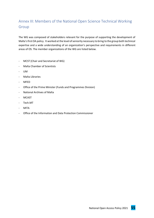# <span id="page-54-0"></span>Annex III: Members of the National Open Science Technical Working Group

The WG was composed of stakeholders relevant for the purpose of supporting the development of Malta's first OA policy. It worked at the level of seniority necessary to bring to the group both technical expertise and a wide understanding of an organization's perspective and requirements in different areas of OS. The member organizations of the WG are listed below.

- MCST (Chair and Secretariat of WG)
- Malta Chamber of Scientists
- UM
- Malta Libraries
- MFED
- Office of the Prime Minister (Funds and Programmes Division)
- National Archives of Malta
- MCAST
- Tech.MT
- MITA
- Office of the Information and Data Protection Commissioner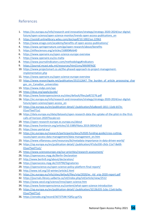# <span id="page-55-0"></span>References

- 1. [https://ec.europa.eu/info/research-and-innovation/strategy/strategy-2020-2024/our-digital](https://ec.europa.eu/info/research-and-innovation/strategy/strategy-2020-2024/our-digital-future/open-science/open-science-monitor/trends-open-access-publications_en)[future/open-science/open-science-monitor/trends-open-access-publications\\_en](https://ec.europa.eu/info/research-and-innovation/strategy/strategy-2020-2024/our-digital-future/open-science/open-science-monitor/trends-open-access-publications_en)
- 2. <https://asistdl.onlinelibrary.wiley.com/doi/epdf/10.1002/asi.22963>
- 3. <https://www.enago.com/academy/benefits-of-open-access-publications/>
- 4. <https://www.springernature.com/gp/open-research/about/benefits>
- 5. <https://elifesciences.org/articles/16800#bib40>
- 6. <https://www.openaire.eu/open-science-europe-overview>
- 7. <https://www.openaire.eu/os-malta>
- 8. <https://www.journalindicators.com/methodology#indicators>
- 9. <https://journal.mcast.edu.mt/resources/html/cms/MAINPAGE>
- 10. [https://www.projectsmart.co.uk/the-phased-approach-to-project-management](https://www.projectsmart.co.uk/the-phased-approach-to-project-management-implementation.php)[implementation.php](https://www.projectsmart.co.uk/the-phased-approach-to-project-management-implementation.php)
- 11. <https://www.openaire.eu/open-science-europe-overview>
- 12. https://www.researchgate.net/publication/351512647 The burden of article processing char ges on Canadian universities
- 13. <https://www.mdpi.com/apc>
- 14. <https://doaj.org/apply/guide/>
- 15. <https://www.fosteropenscience.eu/sites/default/files/pdf/2276.pdf>
- 16. [https://ec.europa.eu/info/research-and-innovation/strategy/strategy-2020-2024/our-digital](https://ec.europa.eu/info/research-and-innovation/strategy/strategy-2020-2024/our-digital-future/open-science/open-access_en)[future/open-science/open-access\\_en](https://ec.europa.eu/info/research-and-innovation/strategy/strategy-2020-2024/our-digital-future/open-science/open-access_en)
- 17. [https://op.europa.eu/en/publication-detail/-/publication/b5a8eee0-1811-11eb-b57e-](https://op.europa.eu/en/publication-detail/-/publication/b5a8eee0-1811-11eb-b57e-01aa75ed71a1)[01aa75ed71a1](https://op.europa.eu/en/publication-detail/-/publication/b5a8eee0-1811-11eb-b57e-01aa75ed71a1)
- 18. [https://data.europa.eu/data/datasets/open-research-data-the-uptake-of-the-pilot-in-the-first](https://data.europa.eu/data/datasets/open-research-data-the-uptake-of-the-pilot-in-the-first-calls-of-horizon-2020?locale=en)[calls-of-horizon-2020?locale=en](https://data.europa.eu/data/datasets/open-research-data-the-uptake-of-the-pilot-in-the-first-calls-of-horizon-2020?locale=en)
- 19. <https://open-research-europe.ec.europa.eu/about>
- 20. <https://www.frontiersin.org/articles/10.3389/fdata.2019.00043/full>
- 21. <https://eosc-portal.eu/>
- 22. [https://ec.europa.eu/research/participants/docs/h2020-funding-guide/cross-cutting](https://ec.europa.eu/research/participants/docs/h2020-funding-guide/cross-cutting-issues/open-access-data-management/data-management_en.htm)[issues/open-access-data-management/data-management\\_en.htm](https://ec.europa.eu/research/participants/docs/h2020-funding-guide/cross-cutting-issues/open-access-data-management/data-management_en.htm)
- 23. <https://www.villanovau.com/resources/bi/metadata-importance-in-data-driven-world/>
- 24. [https://op.europa.eu/en/publication-detail/-/publication/47a3a330-c9cb-11e7-8e69-](https://op.europa.eu/en/publication-detail/-/publication/47a3a330-c9cb-11e7-8e69-01aa75ed71a1/) [01aa75ed71a1/](https://op.europa.eu/en/publication-detail/-/publication/47a3a330-c9cb-11e7-8e69-01aa75ed71a1/)
- 25. <https://www.scienceeurope.org/our-priorities/research-assessment/>
- 26. <https://openaccess.mpg.de/Berlin-Declaration>
- 27. <http://www.berlin9.org/about/declaration/>
- 28. <https://openaccess.mpg.de/319790/Signatories>
- 29. <https://openscience.eu/open-science-policy-platform-final-report/>
- 30. <http://www.istl.org/10-winter/article2.html>
- 31. [https://ec.europa.eu/info/sites/default/files/srip/2020/ec\\_rtd\\_srip-2020-report.pdf](https://ec.europa.eu/info/sites/default/files/srip/2020/ec_rtd_srip-2020-report.pdf)
- 32. <https://journals.library.ualberta.ca/istl/index.php/istl/article/view/2512>
- 33. <https://www.oecd.org/science/inno/open-science.htm>
- 34. <https://www.fosteropenscience.eu/content/what-open-science-introduction>
- 35. [https://op.europa.eu/en/publication-detail/-/publication/3213b335-1cbc-11e6-ba9a-](https://op.europa.eu/en/publication-detail/-/publication/3213b335-1cbc-11e6-ba9a-01aa75ed71a1)[01aa75ed71a1](https://op.europa.eu/en/publication-detail/-/publication/3213b335-1cbc-11e6-ba9a-01aa75ed71a1)
- 36. <https://zenodo.org/record/3673754#.YQfGy-gzY2y>